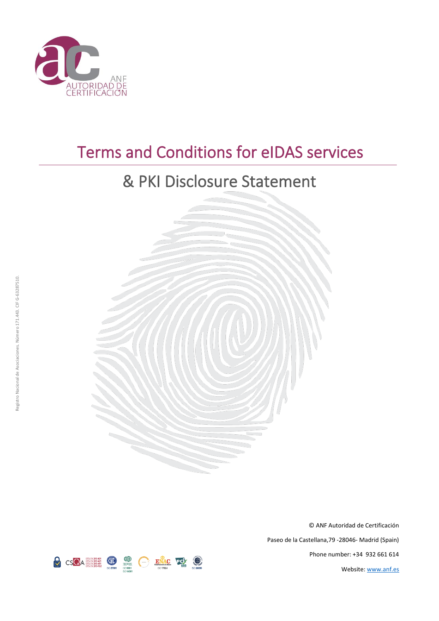

# Terms and Conditions for eIDAS services

# & PKI Disclosure Statement



© ANF Autoridad de Certificación Paseo de la Castellana,79 -28046- Madrid (Spain) Phone number: +34 932 661 614 Website[: www.anf.es](http://www.anf.es/)

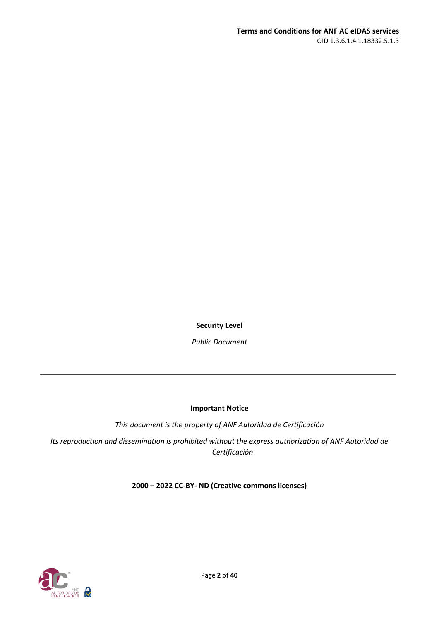**Security Level**

*Public Document*

#### **Important Notice**

*This document is the property of ANF Autoridad de Certificación*

*Its reproduction and dissemination is prohibited without the express authorization of ANF Autoridad de Certificación*

## **2000 – 2022 CC-BY- ND (Creative commons licenses)**

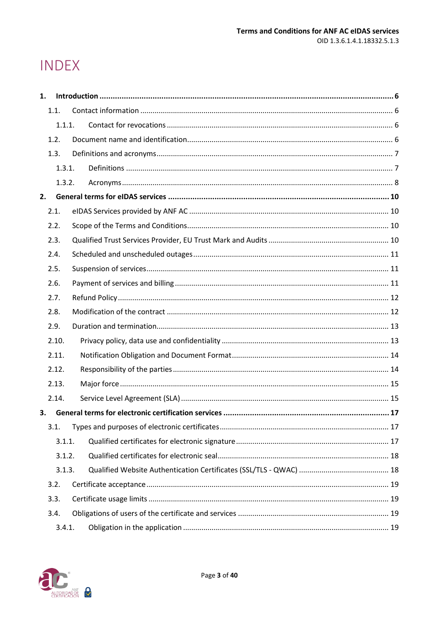# **INDEX**

| 1. |        |  |  |
|----|--------|--|--|
|    | 1.1.   |  |  |
|    | 1.1.1. |  |  |
|    | 1.2.   |  |  |
|    | 1.3.   |  |  |
|    | 1.3.1. |  |  |
|    | 1.3.2. |  |  |
| 2. |        |  |  |
|    | 2.1.   |  |  |
|    | 2.2.   |  |  |
|    | 2.3.   |  |  |
|    | 2.4.   |  |  |
|    | 2.5.   |  |  |
|    | 2.6.   |  |  |
|    | 2.7.   |  |  |
|    | 2.8.   |  |  |
|    | 2.9.   |  |  |
|    | 2.10.  |  |  |
|    | 2.11.  |  |  |
|    | 2.12.  |  |  |
|    | 2.13.  |  |  |
|    | 2.14.  |  |  |
| 3. |        |  |  |
|    | 3.1.   |  |  |
|    | 3.1.1. |  |  |
|    | 3.1.2. |  |  |
|    | 3.1.3. |  |  |
|    | 3.2.   |  |  |
|    | 3.3.   |  |  |
|    | 3.4.   |  |  |
|    | 3.4.1. |  |  |

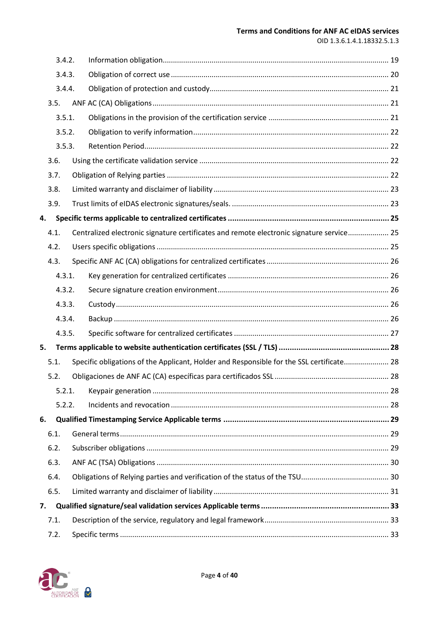#### **Terms and Conditions for ANF AC eIDAS services**

OID 1.3.6.1.4.1.18332.5.1.3

|    | 3.4.2. |                                                                                          |  |
|----|--------|------------------------------------------------------------------------------------------|--|
|    | 3.4.3. |                                                                                          |  |
|    | 3.4.4. |                                                                                          |  |
|    | 3.5.   |                                                                                          |  |
|    | 3.5.1. |                                                                                          |  |
|    | 3.5.2. |                                                                                          |  |
|    | 3.5.3. |                                                                                          |  |
|    | 3.6.   |                                                                                          |  |
|    | 3.7.   |                                                                                          |  |
|    | 3.8.   |                                                                                          |  |
|    | 3.9.   |                                                                                          |  |
| 4. |        |                                                                                          |  |
|    | 4.1.   | Centralized electronic signature certificates and remote electronic signature service 25 |  |
|    | 4.2.   |                                                                                          |  |
|    | 4.3.   |                                                                                          |  |
|    | 4.3.1. |                                                                                          |  |
|    | 4.3.2. |                                                                                          |  |
|    |        |                                                                                          |  |
|    | 4.3.3. |                                                                                          |  |
|    | 4.3.4. |                                                                                          |  |
|    | 4.3.5. |                                                                                          |  |
| 5. |        |                                                                                          |  |
|    | 5.1.   | Specific obligations of the Applicant, Holder and Responsible for the SSL certificate 28 |  |
|    | 5.2.   |                                                                                          |  |
|    | 5.2.1. |                                                                                          |  |
|    | 5.2.2. |                                                                                          |  |
| 6. |        |                                                                                          |  |
|    | 6.1.   |                                                                                          |  |
|    | 6.2.   |                                                                                          |  |
|    | 6.3.   |                                                                                          |  |
|    | 6.4.   |                                                                                          |  |
|    | 6.5.   |                                                                                          |  |
| 7. |        |                                                                                          |  |
|    | 7.1.   |                                                                                          |  |

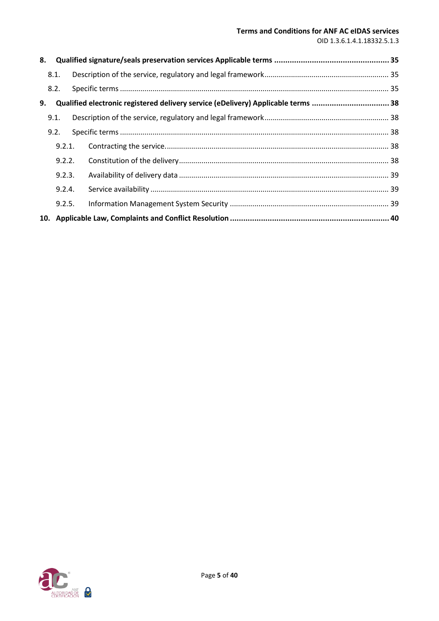#### **Terms and Conditions for ANF AC eIDAS services**

OID 1.3.6.1.4.1.18332.5.1.3

| 8. |        |                                                                                   |  |
|----|--------|-----------------------------------------------------------------------------------|--|
|    | 8.1.   |                                                                                   |  |
|    | 8.2.   |                                                                                   |  |
| 9. |        | Qualified electronic registered delivery service (eDelivery) Applicable terms  38 |  |
|    | 9.1.   |                                                                                   |  |
|    | 9.2.   |                                                                                   |  |
|    | 9.2.1. |                                                                                   |  |
|    | 9.2.2. |                                                                                   |  |
|    | 9.2.3. |                                                                                   |  |
|    | 9.2.4. |                                                                                   |  |
|    | 9.2.5. |                                                                                   |  |
|    |        |                                                                                   |  |

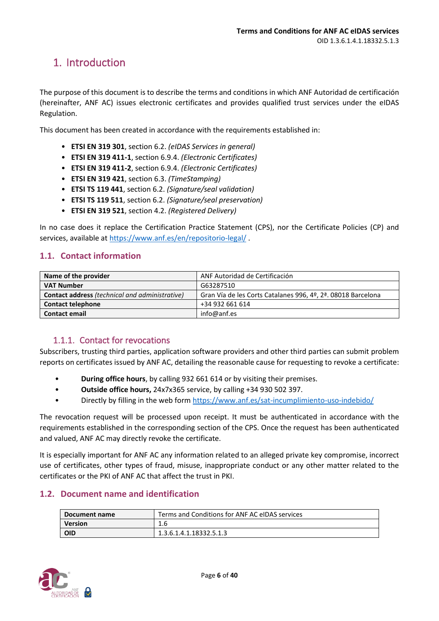## <span id="page-5-0"></span>1. Introduction

The purpose of this document is to describe the terms and conditions in which ANF Autoridad de certificación (hereinafter, ANF AC) issues electronic certificates and provides qualified trust services under the eIDAS Regulation.

This document has been created in accordance with the requirements established in:

- **ETSI EN 319 301**, section 6.2. *(eIDAS Services in general)*
- **ETSI EN 319 411-1**, section 6.9.4. *(Electronic Certificates)*
- **ETSI EN 319 411-2**, section 6.9.4. *(Electronic Certificates)*
- **ETSI EN 319 421**, section 6.3. *(TimeStamping)*
- **ETSI TS 119 441**, section 6.2. *(Signature/seal validation)*
- **ETSI TS 119 511**, section 6.2. *(Signature/seal preservation)*
- **ETSI EN 319 521**, section 4.2. *(Registered Delivery)*

In no case does it replace the Certification Practice Statement (CPS), nor the Certificate Policies (CP) and services, available at<https://www.anf.es/en/repositorio-legal/> .

### <span id="page-5-1"></span>**1.1. Contact information**

| Name of the provider                                  | ANF Autoridad de Certificación                               |
|-------------------------------------------------------|--------------------------------------------------------------|
| <b>VAT Number</b>                                     | G63287510                                                    |
| <b>Contact address</b> (technical and administrative) | Gran Vía de les Corts Catalanes 996, 4º, 2ª. 08018 Barcelona |
| <b>Contact telephone</b>                              | +34 932 661 614                                              |
| <b>Contact email</b>                                  | info@anf.es                                                  |

## 1.1.1. Contact for revocations

<span id="page-5-2"></span>Subscribers, trusting third parties, application software providers and other third parties can submit problem reports on certificates issued by ANF AC, detailing the reasonable cause for requesting to revoke a certificate:

- **During office hours**, by calling 932 661 614 or by visiting their premises.
- **Outside office hours,** 24x7x365 service, by calling +34 930 502 397.
- Directly by filling in the web form<https://www.anf.es/sat-incumplimiento-uso-indebido/>

The revocation request will be processed upon receipt. It must be authenticated in accordance with the requirements established in the corresponding section of the CPS. Once the request has been authenticated and valued, ANF AC may directly revoke the certificate.

It is especially important for ANF AC any information related to an alleged private key compromise, incorrect use of certificates, other types of fraud, misuse, inappropriate conduct or any other matter related to the certificates or the PKI of ANF AC that affect the trust in PKI.

## <span id="page-5-3"></span>**1.2. Document name and identification**

| Document name  | Terms and Conditions for ANF AC eIDAS services |
|----------------|------------------------------------------------|
| <b>Version</b> | 1.6                                            |
| <b>OID</b>     | 1.3.6.1.4.1.18332.5.1.3                        |

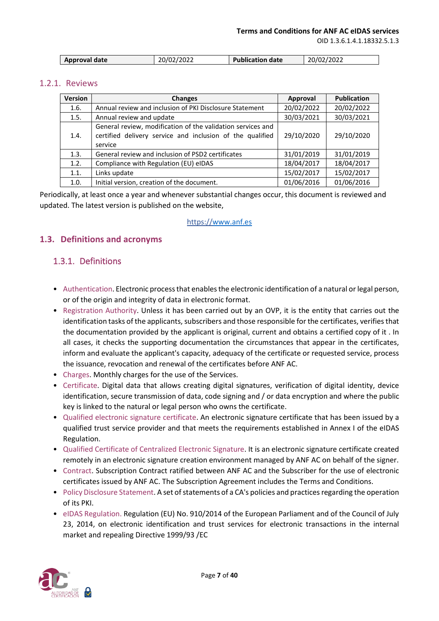OID 1.3.6.1.4.1.18332.5.1.3

## 1.2.1. Reviews

| <b>Version</b> | <b>Changes</b>                                                                                                                      | Approval   | <b>Publication</b> |
|----------------|-------------------------------------------------------------------------------------------------------------------------------------|------------|--------------------|
| 1.6.           | Annual review and inclusion of PKI Disclosure Statement                                                                             | 20/02/2022 | 20/02/2022         |
| 1.5.           | Annual review and update                                                                                                            | 30/03/2021 | 30/03/2021         |
| 1.4.           | General review, modification of the validation services and<br>certified delivery service and inclusion of the qualified<br>service | 29/10/2020 | 29/10/2020         |
| 1.3.           | General review and inclusion of PSD2 certificates                                                                                   | 31/01/2019 | 31/01/2019         |
| 1.2.           | Compliance with Regulation (EU) eIDAS                                                                                               | 18/04/2017 | 18/04/2017         |
| 1.1.           | Links update                                                                                                                        | 15/02/2017 | 15/02/2017         |
| 1.0.           | Initial version, creation of the document.                                                                                          | 01/06/2016 | 01/06/2016         |

Periodically, at least once a year and whenever substantial changes occur, this document is reviewed and updated. The latest version is published on the website,

#### https:/[/www.anf.es](http://www.anf.es/)

## <span id="page-6-0"></span>**1.3. Definitions and acronyms**

## <span id="page-6-1"></span>1.3.1. Definitions

- Authentication. Electronic process that enables the electronic identification of a natural or legal person, or of the origin and integrity of data in electronic format.
- Registration Authority. Unless it has been carried out by an OVP, it is the entity that carries out the identification tasks of the applicants, subscribers and those responsible for the certificates, verifies that the documentation provided by the applicant is original, current and obtains a certified copy of it . In all cases, it checks the supporting documentation the circumstances that appear in the certificates, inform and evaluate the applicant's capacity, adequacy of the certificate or requested service, process the issuance, revocation and renewal of the certificates before ANF AC.
- Charges. Monthly charges for the use of the Services.
- Certificate. Digital data that allows creating digital signatures, verification of digital identity, device identification, secure transmission of data, code signing and / or data encryption and where the public key is linked to the natural or legal person who owns the certificate.
- Qualified electronic signature certificate. An electronic signature certificate that has been issued by a qualified trust service provider and that meets the requirements established in Annex I of the eIDAS Regulation.
- Qualified Certificate of Centralized Electronic Signature. It is an electronic signature certificate created remotely in an electronic signature creation environment managed by ANF AC on behalf of the signer.
- Contract. Subscription Contract ratified between ANF AC and the Subscriber for the use of electronic certificates issued by ANF AC. The Subscription Agreement includes the Terms and Conditions.
- Policy Disclosure Statement. A set of statements of a CA's policies and practices regarding the operation of its PKI.
- eIDAS Regulation. Regulation (EU) No. 910/2014 of the European Parliament and of the Council of July 23, 2014, on electronic identification and trust services for electronic transactions in the internal market and repealing Directive 1999/93 /EC

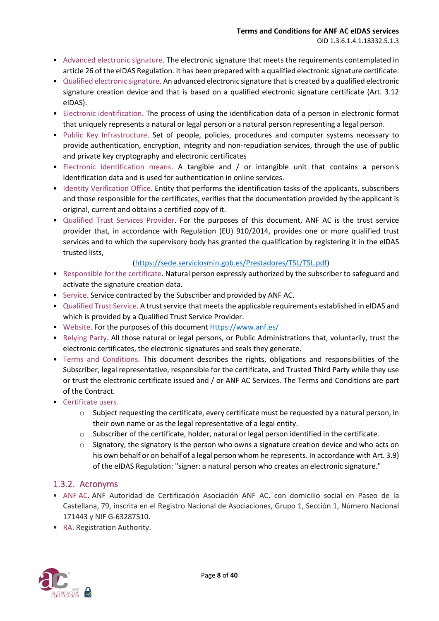- Advanced electronic signature. The electronic signature that meets the requirements contemplated in article 26 of the eIDAS Regulation. It has been prepared with a qualified electronic signature certificate.
- Qualified electronic signature. An advanced electronic signature that is created by a qualified electronic signature creation device and that is based on a qualified electronic signature certificate (Art. 3.12 eIDAS).
- Electronic identification. The process of using the identification data of a person in electronic format that uniquely represents a natural or legal person or a natural person representing a legal person.
- Public Key Infrastructure. Set of people, policies, procedures and computer systems necessary to provide authentication, encryption, integrity and non-repudiation services, through the use of public and private key cryptography and electronic certificates
- Electronic identification means. A tangible and / or intangible unit that contains a person's identification data and is used for authentication in online services.
- Identity Verification Office. Entity that performs the identification tasks of the applicants, subscribers and those responsible for the certificates, verifies that the documentation provided by the applicant is original, current and obtains a certified copy of it.
- Qualified Trust Services Provider. For the purposes of this document, ANF AC is the trust service provider that, in accordance with Regulation (EU) 910/2014, provides one or more qualified trust services and to which the supervisory body has granted the qualification by registering it in the eIDAS trusted lists,

## [\(https://sede.serviciosmin.gob.es/Prestadores/TSL/TSL.pdf\)](https://sede.serviciosmin.gob.es/Prestadores/TSL/TSL.pdf)

- Responsible for the certificate. Natural person expressly authorized by the subscriber to safeguard and activate the signature creation data.
- Service. Service contracted by the Subscriber and provided by ANF AC.
- Qualified Trust Service. A trust service that meets the applicable requirements established in eIDAS and which is provided by a Qualified Trust Service Provider.
- Website. For the purposes of this documen[t Https://www.anf.es/](https://www.anf.es/)
- Relying Party. All those natural or legal persons, or Public Administrations that, voluntarily, trust the electronic certificates, the electronic signatures and seals they generate.
- Terms and Conditions. This document describes the rights, obligations and responsibilities of the Subscriber, legal representative, responsible for the certificate, and Trusted Third Party while they use or trust the electronic certificate issued and / or ANF AC Services. The Terms and Conditions are part of the Contract.
- Certificate users.
	- o Subject requesting the certificate, every certificate must be requested by a natural person, in their own name or as the legal representative of a legal entity.
	- $\circ$  Subscriber of the certificate, holder, natural or legal person identified in the certificate.
	- $\circ$  Signatory, the signatory is the person who owns a signature creation device and who acts on his own behalf or on behalf of a legal person whom he represents. In accordance with Art. 3.9) of the eIDAS Regulation: "signer: a natural person who creates an electronic signature."

## <span id="page-7-0"></span>1.3.2. Acronyms

- ANF AC. ANF Autoridad de Certificación Asociación ANF AC, con domicilio social en Paseo de la Castellana, 79, inscrita en el Registro Nacional de Asociaciones, Grupo 1, Sección 1, Número Nacional 171443 y NIF G-63287510.
- RA. Registration Authority.

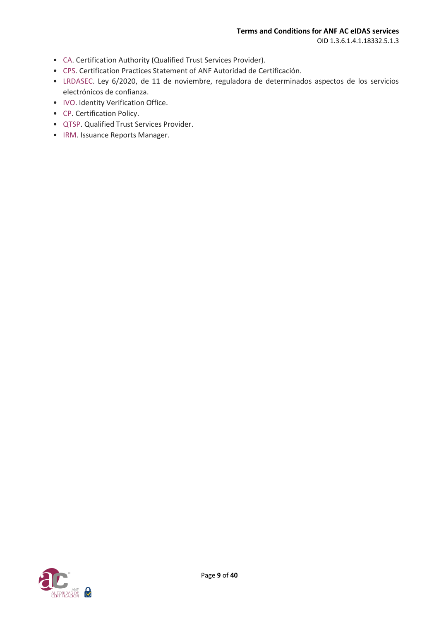OID 1.3.6.1.4.1.18332.5.1.3

- CA. Certification Authority (Qualified Trust Services Provider).
- CPS. Certification Practices Statement of ANF Autoridad de Certificación.
- LRDASEC. Ley 6/2020, de 11 de noviembre, reguladora de determinados aspectos de los servicios electrónicos de confianza.
- IVO. Identity Verification Office.
- CP. Certification Policy.
- QTSP. Qualified Trust Services Provider.
- IRM. Issuance Reports Manager.

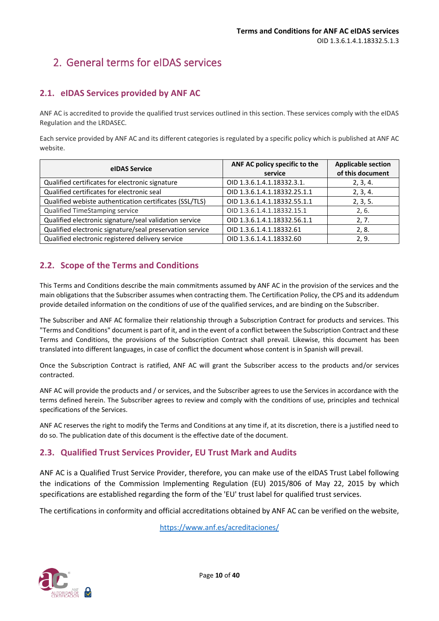## <span id="page-9-0"></span>2. General terms for eIDAS services

## <span id="page-9-1"></span>**2.1. eIDAS Services provided by ANF AC**

ANF AC is accredited to provide the qualified trust services outlined in this section. These services comply with the eIDAS Regulation and the LRDASEC.

Each service provided by ANF AC and its different categories is regulated by a specific policy which is published at ANF AC website.

| eIDAS Service                                            | ANF AC policy specific to the<br>service | <b>Applicable section</b><br>of this document |
|----------------------------------------------------------|------------------------------------------|-----------------------------------------------|
| Qualified certificates for electronic signature          | OID 1.3.6.1.4.1.18332.3.1.               | 2, 3, 4.                                      |
| Qualified certificates for electronic seal               | OID 1.3.6.1.4.1.18332.25.1.1             | 2, 3, 4.                                      |
| Qualified webiste authentication certificates (SSL/TLS)  | OID 1.3.6.1.4.1.18332.55.1.1             | 2, 3, 5.                                      |
| Qualified TimeStamping service                           | OID 1.3.6.1.4.1.18332.15.1               | 2, 6.                                         |
| Qualified electronic signature/seal validation service   | OID 1.3.6.1.4.1.18332.56.1.1             | 2, 7.                                         |
| Qualified electronic signature/seal preservation service | OID 1.3.6.1.4.1.18332.61                 | 2, 8.                                         |
| Qualified electronic registered delivery service         | OID 1.3.6.1.4.1.18332.60                 | 2, 9.                                         |

## <span id="page-9-2"></span>**2.2. Scope of the Terms and Conditions**

This Terms and Conditions describe the main commitments assumed by ANF AC in the provision of the services and the main obligations that the Subscriber assumes when contracting them. The Certification Policy, the CPS and its addendum provide detailed information on the conditions of use of the qualified services, and are binding on the Subscriber.

The Subscriber and ANF AC formalize their relationship through a Subscription Contract for products and services. This "Terms and Conditions" document is part of it, and in the event of a conflict between the Subscription Contract and these Terms and Conditions, the provisions of the Subscription Contract shall prevail. Likewise, this document has been translated into different languages, in case of conflict the document whose content is in Spanish will prevail.

Once the Subscription Contract is ratified, ANF AC will grant the Subscriber access to the products and/or services contracted.

ANF AC will provide the products and / or services, and the Subscriber agrees to use the Services in accordance with the terms defined herein. The Subscriber agrees to review and comply with the conditions of use, principles and technical specifications of the Services.

ANF AC reserves the right to modify the Terms and Conditions at any time if, at its discretion, there is a justified need to do so. The publication date of this document is the effective date of the document.

## <span id="page-9-3"></span>**2.3. Qualified Trust Services Provider, EU Trust Mark and Audits**

ANF AC is a Qualified Trust Service Provider, therefore, you can make use of the eIDAS Trust Label following the indications of the Commission Implementing Regulation (EU) 2015/806 of May 22, 2015 by which specifications are established regarding the form of the 'EU' trust label for qualified trust services.

The certifications in conformity and official accreditations obtained by ANF AC can be verified on the website,

<https://www.anf.es/acreditaciones/>

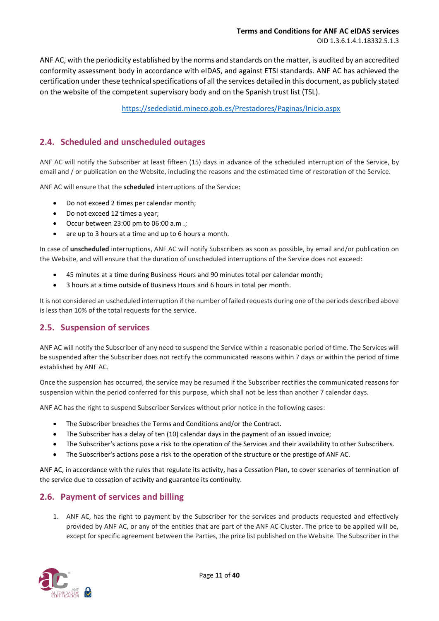ANF AC, with the periodicity established by the norms and standards on the matter, is audited by an accredited conformity assessment body in accordance with eIDAS, and against ETSI standards. ANF AC has achieved the certification under these technical specifications of all the services detailed in this document, as publicly stated on the website of the competent supervisory body and on the Spanish trust list (TSL).

<https://sedediatid.mineco.gob.es/Prestadores/Paginas/Inicio.aspx>

## <span id="page-10-0"></span>**2.4. Scheduled and unscheduled outages**

ANF AC will notify the Subscriber at least fifteen (15) days in advance of the scheduled interruption of the Service, by email and / or publication on the Website, including the reasons and the estimated time of restoration of the Service.

ANF AC will ensure that the **scheduled** interruptions of the Service:

- Do not exceed 2 times per calendar month;
- Do not exceed 12 times a year;
- Occur between 23:00 pm to 06:00 a.m .;
- are up to 3 hours at a time and up to 6 hours a month.

In case of **unscheduled** interruptions, ANF AC will notify Subscribers as soon as possible, by email and/or publication on the Website, and will ensure that the duration of unscheduled interruptions of the Service does not exceed:

- 45 minutes at a time during Business Hours and 90 minutes total per calendar month;
- 3 hours at a time outside of Business Hours and 6 hours in total per month.

It is not considered an uscheduled interruption if the number of failed requests during one of the periods described above is less than 10% of the total requests for the service.

## <span id="page-10-1"></span>**2.5. Suspension of services**

ANF AC will notify the Subscriber of any need to suspend the Service within a reasonable period of time. The Services will be suspended after the Subscriber does not rectify the communicated reasons within 7 days or within the period of time established by ANF AC.

Once the suspension has occurred, the service may be resumed if the Subscriber rectifies the communicated reasons for suspension within the period conferred for this purpose, which shall not be less than another 7 calendar days.

ANF AC has the right to suspend Subscriber Services without prior notice in the following cases:

- The Subscriber breaches the Terms and Conditions and/or the Contract.
- The Subscriber has a delay of ten (10) calendar days in the payment of an issued invoice;
- The Subscriber's actions pose a risk to the operation of the Services and their availability to other Subscribers.
- The Subscriber's actions pose a risk to the operation of the structure or the prestige of ANF AC.

ANF AC, in accordance with the rules that regulate its activity, has a Cessation Plan, to cover scenarios of termination of the service due to cessation of activity and guarantee its continuity.

## <span id="page-10-2"></span>**2.6. Payment of services and billing**

1. ANF AC, has the right to payment by the Subscriber for the services and products requested and effectively provided by ANF AC, or any of the entities that are part of the ANF AC Cluster. The price to be applied will be, except for specific agreement between the Parties, the price list published on the Website. The Subscriber in the

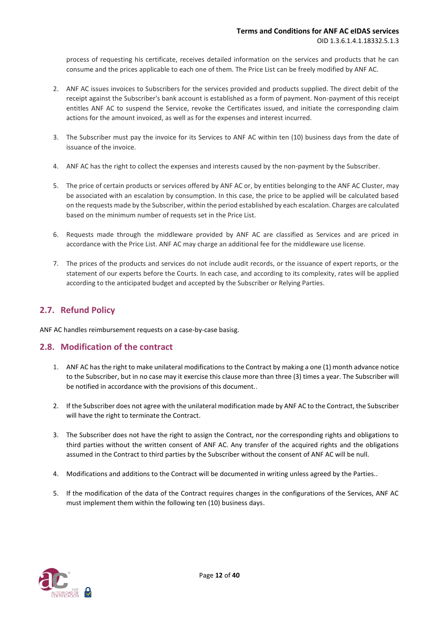process of requesting his certificate, receives detailed information on the services and products that he can consume and the prices applicable to each one of them. The Price List can be freely modified by ANF AC.

- 2. ANF AC issues invoices to Subscribers for the services provided and products supplied. The direct debit of the receipt against the Subscriber's bank account is established as a form of payment. Non-payment of this receipt entitles ANF AC to suspend the Service, revoke the Certificates issued, and initiate the corresponding claim actions for the amount invoiced, as well as for the expenses and interest incurred.
- 3. The Subscriber must pay the invoice for its Services to ANF AC within ten (10) business days from the date of issuance of the invoice.
- 4. ANF AC has the right to collect the expenses and interests caused by the non-payment by the Subscriber.
- 5. The price of certain products or services offered by ANF AC or, by entities belonging to the ANF AC Cluster, may be associated with an escalation by consumption. In this case, the price to be applied will be calculated based on the requests made by the Subscriber, within the period established by each escalation. Charges are calculated based on the minimum number of requests set in the Price List.
- 6. Requests made through the middleware provided by ANF AC are classified as Services and are priced in accordance with the Price List. ANF AC may charge an additional fee for the middleware use license.
- 7. The prices of the products and services do not include audit records, or the issuance of expert reports, or the statement of our experts before the Courts. In each case, and according to its complexity, rates will be applied according to the anticipated budget and accepted by the Subscriber or Relying Parties.

## <span id="page-11-0"></span>**2.7. Refund Policy**

ANF AC handles reimbursement requests on a case-by-case basisg.

#### <span id="page-11-1"></span>**2.8. Modification of the contract**

- 1. ANF AC has the right to make unilateral modifications to the Contract by making a one (1) month advance notice to the Subscriber, but in no case may it exercise this clause more than three (3) times a year. The Subscriber will be notified in accordance with the provisions of this document..
- 2. If the Subscriber does not agree with the unilateral modification made by ANF AC to the Contract, the Subscriber will have the right to terminate the Contract.
- 3. The Subscriber does not have the right to assign the Contract, nor the corresponding rights and obligations to third parties without the written consent of ANF AC. Any transfer of the acquired rights and the obligations assumed in the Contract to third parties by the Subscriber without the consent of ANF AC will be null.
- 4. Modifications and additions to the Contract will be documented in writing unless agreed by the Parties..
- 5. If the modification of the data of the Contract requires changes in the configurations of the Services, ANF AC must implement them within the following ten (10) business days.

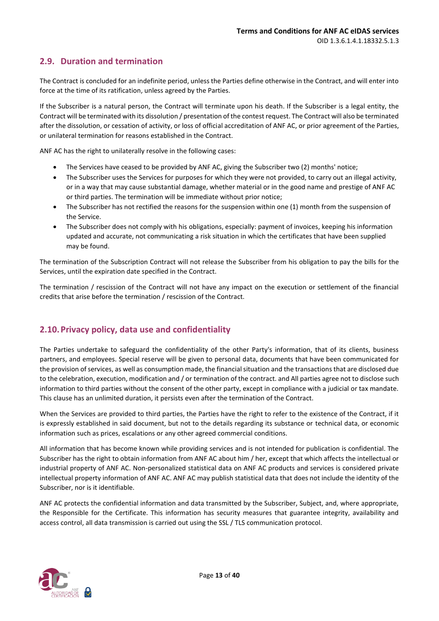## <span id="page-12-0"></span>**2.9. Duration and termination**

The Contract is concluded for an indefinite period, unless the Parties define otherwise in the Contract, and will enter into force at the time of its ratification, unless agreed by the Parties.

If the Subscriber is a natural person, the Contract will terminate upon his death. If the Subscriber is a legal entity, the Contract will be terminated with its dissolution / presentation of the contest request. The Contract will also be terminated after the dissolution, or cessation of activity, or loss of official accreditation of ANF AC, or prior agreement of the Parties, or unilateral termination for reasons established in the Contract.

ANF AC has the right to unilaterally resolve in the following cases:

- The Services have ceased to be provided by ANF AC, giving the Subscriber two (2) months' notice;
- The Subscriber uses the Services for purposes for which they were not provided, to carry out an illegal activity, or in a way that may cause substantial damage, whether material or in the good name and prestige of ANF AC or third parties. The termination will be immediate without prior notice;
- The Subscriber has not rectified the reasons for the suspension within one (1) month from the suspension of the Service.
- The Subscriber does not comply with his obligations, especially: payment of invoices, keeping his information updated and accurate, not communicating a risk situation in which the certificates that have been supplied may be found.

The termination of the Subscription Contract will not release the Subscriber from his obligation to pay the bills for the Services, until the expiration date specified in the Contract.

The termination / rescission of the Contract will not have any impact on the execution or settlement of the financial credits that arise before the termination / rescission of the Contract.

## <span id="page-12-1"></span>**2.10.Privacy policy, data use and confidentiality**

The Parties undertake to safeguard the confidentiality of the other Party's information, that of its clients, business partners, and employees. Special reserve will be given to personal data, documents that have been communicated for the provision of services, as well as consumption made, the financial situation and the transactions that are disclosed due to the celebration, execution, modification and / or termination of the contract. and All parties agree not to disclose such information to third parties without the consent of the other party, except in compliance with a judicial or tax mandate. This clause has an unlimited duration, it persists even after the termination of the Contract.

When the Services are provided to third parties, the Parties have the right to refer to the existence of the Contract, if it is expressly established in said document, but not to the details regarding its substance or technical data, or economic information such as prices, escalations or any other agreed commercial conditions.

All information that has become known while providing services and is not intended for publication is confidential. The Subscriber has the right to obtain information from ANF AC about him / her, except that which affects the intellectual or industrial property of ANF AC. Non-personalized statistical data on ANF AC products and services is considered private intellectual property information of ANF AC. ANF AC may publish statistical data that does not include the identity of the Subscriber, nor is it identifiable.

ANF AC protects the confidential information and data transmitted by the Subscriber, Subject, and, where appropriate, the Responsible for the Certificate. This information has security measures that guarantee integrity, availability and access control, all data transmission is carried out using the SSL / TLS communication protocol.

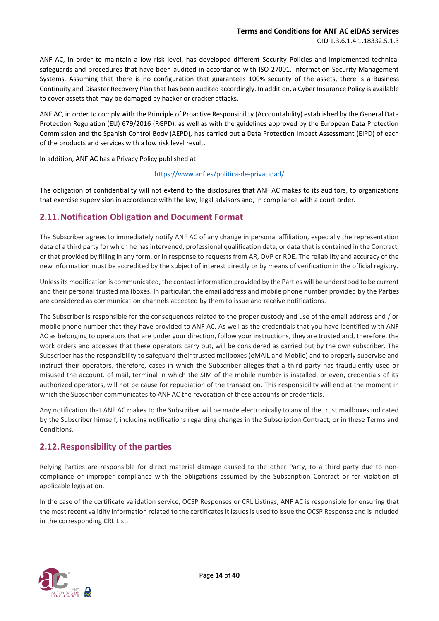ANF AC, in order to maintain a low risk level, has developed different Security Policies and implemented technical safeguards and procedures that have been audited in accordance with ISO 27001, Information Security Management Systems. Assuming that there is no configuration that guarantees 100% security of the assets, there is a Business Continuity and Disaster Recovery Plan that has been audited accordingly. In addition, a Cyber Insurance Policy is available to cover assets that may be damaged by hacker or cracker attacks.

ANF AC, in order to comply with the Principle of Proactive Responsibility (Accountability) established by the General Data Protection Regulation (EU) 679/2016 (RGPD), as well as with the guidelines approved by the European Data Protection Commission and the Spanish Control Body (AEPD), has carried out a Data Protection Impact Assessment (EIPD) of each of the products and services with a low risk level result.

In addition, ANF AC has a Privacy Policy published at

#### <https://www.anf.es/politica-de-privacidad/>

The obligation of confidentiality will not extend to the disclosures that ANF AC makes to its auditors, to organizations that exercise supervision in accordance with the law, legal advisors and, in compliance with a court order.

## <span id="page-13-0"></span>**2.11.Notification Obligation and Document Format**

The Subscriber agrees to immediately notify ANF AC of any change in personal affiliation, especially the representation data of a third party for which he has intervened, professional qualification data, or data that is contained in the Contract, or that provided by filling in any form, or in response to requests from AR, OVP or RDE. The reliability and accuracy of the new information must be accredited by the subject of interest directly or by means of verification in the official registry.

Unless its modification is communicated, the contact information provided by the Parties will be understood to be current and their personal trusted mailboxes. In particular, the email address and mobile phone number provided by the Parties are considered as communication channels accepted by them to issue and receive notifications.

The Subscriber is responsible for the consequences related to the proper custody and use of the email address and / or mobile phone number that they have provided to ANF AC. As well as the credentials that you have identified with ANF AC as belonging to operators that are under your direction, follow your instructions, they are trusted and, therefore, the work orders and accesses that these operators carry out, will be considered as carried out by the own subscriber. The Subscriber has the responsibility to safeguard their trusted mailboxes (eMAIL and Mobile) and to properly supervise and instruct their operators, therefore, cases in which the Subscriber alleges that a third party has fraudulently used or misused the account. of mail, terminal in which the SIM of the mobile number is installed, or even, credentials of its authorized operators, will not be cause for repudiation of the transaction. This responsibility will end at the moment in which the Subscriber communicates to ANF AC the revocation of these accounts or credentials.

Any notification that ANF AC makes to the Subscriber will be made electronically to any of the trust mailboxes indicated by the Subscriber himself, including notifications regarding changes in the Subscription Contract, or in these Terms and Conditions.

## <span id="page-13-1"></span>**2.12.Responsibility of the parties**

Relying Parties are responsible for direct material damage caused to the other Party, to a third party due to noncompliance or improper compliance with the obligations assumed by the Subscription Contract or for violation of applicable legislation.

In the case of the certificate validation service, OCSP Responses or CRL Listings, ANF AC is responsible for ensuring that the most recent validity information related to the certificates it issues is used to issue the OCSP Response and is included in the corresponding CRL List.

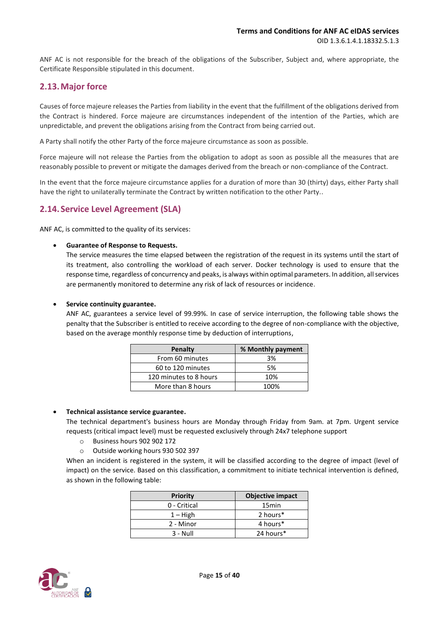ANF AC is not responsible for the breach of the obligations of the Subscriber, Subject and, where appropriate, the Certificate Responsible stipulated in this document.

## <span id="page-14-0"></span>**2.13.Major force**

Causes of force majeure releases the Parties from liability in the event that the fulfillment of the obligations derived from the Contract is hindered. Force majeure are circumstances independent of the intention of the Parties, which are unpredictable, and prevent the obligations arising from the Contract from being carried out.

A Party shall notify the other Party of the force majeure circumstance as soon as possible.

Force majeure will not release the Parties from the obligation to adopt as soon as possible all the measures that are reasonably possible to prevent or mitigate the damages derived from the breach or non-compliance of the Contract.

In the event that the force majeure circumstance applies for a duration of more than 30 (thirty) days, either Party shall have the right to unilaterally terminate the Contract by written notification to the other Party..

## <span id="page-14-1"></span>**2.14. Service Level Agreement (SLA)**

ANF AC, is committed to the quality of its services:

#### • **Guarantee of Response to Requests.**

The service measures the time elapsed between the registration of the request in its systems until the start of its treatment, also controlling the workload of each server. Docker technology is used to ensure that the response time, regardless of concurrency and peaks, is always within optimal parameters. In addition, all services are permanently monitored to determine any risk of lack of resources or incidence.

#### • **Service continuity guarantee.**

ANF AC, guarantees a service level of 99.99%. In case of service interruption, the following table shows the penalty that the Subscriber is entitled to receive according to the degree of non-compliance with the objective, based on the average monthly response time by deduction of interruptions,

| Penalty                | % Monthly payment |
|------------------------|-------------------|
| From 60 minutes        | 3%                |
| 60 to 120 minutes      | 5%                |
| 120 minutes to 8 hours | 10%               |
| More than 8 hours      | 100%              |

#### • **Technical assistance service guarantee.**

The technical department's business hours are Monday through Friday from 9am. at 7pm. Urgent service requests (critical impact level) must be requested exclusively through 24x7 telephone support

- o Business hours 902 902 172
- o Outside working hours 930 502 397

When an incident is registered in the system, it will be classified according to the degree of impact (level of impact) on the service. Based on this classification, a commitment to initiate technical intervention is defined, as shown in the following table:

| Priority     | <b>Objective impact</b> |
|--------------|-------------------------|
| 0 - Critical | 15 <sub>min</sub>       |
| $1 -$ High   | 2 hours*                |
| 2 - Minor    | 4 hours*                |
| $3 - Null$   | 24 hours*               |

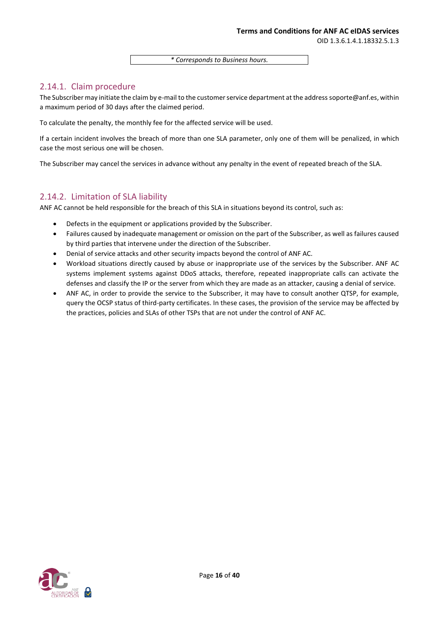*\* Corresponds to Business hours.*

## 2.14.1. Claim procedure

The Subscriber may initiate the claim by e-mail to the customer service department at the address soporte@anf.es, within a maximum period of 30 days after the claimed period.

To calculate the penalty, the monthly fee for the affected service will be used.

If a certain incident involves the breach of more than one SLA parameter, only one of them will be penalized, in which case the most serious one will be chosen.

The Subscriber may cancel the services in advance without any penalty in the event of repeated breach of the SLA.

### 2.14.2. Limitation of SLA liability

ANF AC cannot be held responsible for the breach of this SLA in situations beyond its control, such as:

- Defects in the equipment or applications provided by the Subscriber.
- Failures caused by inadequate management or omission on the part of the Subscriber, as well as failures caused by third parties that intervene under the direction of the Subscriber.
- Denial of service attacks and other security impacts beyond the control of ANF AC.
- Workload situations directly caused by abuse or inappropriate use of the services by the Subscriber. ANF AC systems implement systems against DDoS attacks, therefore, repeated inappropriate calls can activate the defenses and classify the IP or the server from which they are made as an attacker, causing a denial of service.
- ANF AC, in order to provide the service to the Subscriber, it may have to consult another QTSP, for example, query the OCSP status of third-party certificates. In these cases, the provision of the service may be affected by the practices, policies and SLAs of other TSPs that are not under the control of ANF AC.

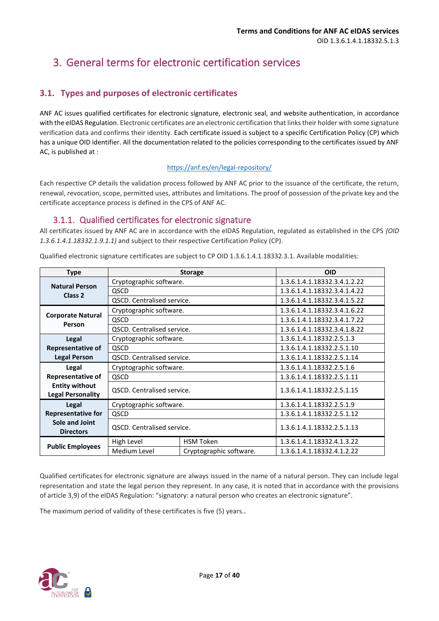## <span id="page-16-0"></span>3. General terms for electronic certification services

## <span id="page-16-1"></span>**3.1. Types and purposes of electronic certificates**

ANF AC issues qualified certificates for electronic signature, electronic seal, and website authentication, in accordance with the eIDAS Regulation. Electronic certificates are an electronic certification that links their holder with some signature verification data and confirms their identity. Each certificate issued is subject to a specific Certification Policy (CP) which has a unique OID identifier. All the documentation related to the policies corresponding to the certificates issued by ANF AC, is published at :

#### <https://anf.es/en/legal-repository/>

Each respective CP details the validation process followed by ANF AC prior to the issuance of the certificate, the return, renewal, revocation, scope, permitted uses, attributes and limitations. The proof of possession of the private key and the certificate acceptance process is defined in the CPS of ANF AC.

## 3.1.1. Qualified certificates for electronic signature

<span id="page-16-2"></span>All certificates issued by ANF AC are in accordance with the eIDAS Regulation, regulated as established in the CPS *(OID 1.3.6.1.4.1.18332.1.9.1.1)* and subject to their respective Certification Policy (CP).

| <b>Type</b>                               | <b>Storage</b>                    |                  | <b>OID</b>                   |
|-------------------------------------------|-----------------------------------|------------------|------------------------------|
| <b>Natural Person</b>                     | Cryptographic software.           |                  | 1.3.6.1.4.1.18332.3.4.1.2.22 |
| Class <sub>2</sub>                        | QSCD                              |                  | 1.3.6.1.4.1.18332.3.4.1.4.22 |
|                                           | QSCD. Centralised service.        |                  | 1.3.6.1.4.1.18332.3.4.1.5.22 |
|                                           | Cryptographic software.           |                  | 1.3.6.1.4.1.18332.3.4.1.6.22 |
| <b>Corporate Natural</b><br>Person        | QSCD                              |                  | 1.3.6.1.4.1.18332.3.4.1.7.22 |
|                                           | <b>QSCD.</b> Centralised service. |                  | 1.3.6.1.4.1.18332.3.4.1.8.22 |
| Legal                                     | Cryptographic software.           |                  | 1.3.6.1.4.1.18332.2.5.1.3    |
| <b>Representative of</b>                  | QSCD                              |                  | 1.3.6.1.4.1.18332.2.5.1.10   |
| <b>Legal Person</b>                       | QSCD. Centralised service.        |                  | 1.3.6.1.4.1.18332.2.5.1.14   |
|                                           |                                   |                  |                              |
| Legal                                     | Cryptographic software.           |                  | 1.3.6.1.4.1.18332.2.5.1.6    |
| Representative of                         | QSCD                              |                  | 1.3.6.1.4.1.18332.2.5.1.11   |
| <b>Entity without</b>                     | QSCD. Centralised service.        |                  | 1.3.6.1.4.1.18332.2.5.1.15   |
| <b>Legal Personality</b>                  |                                   |                  |                              |
| <b>Legal</b>                              | Cryptographic software.           |                  | 1.3.6.1.4.1.18332.2.5.1.9    |
| <b>Representative for</b>                 | QSCD                              |                  | 1.3.6.1.4.1.18332.2.5.1.12   |
| <b>Sole and Joint</b><br><b>Directors</b> | <b>QSCD.</b> Centralised service. |                  | 1.3.6.1.4.1.18332.2.5.1.13   |
| <b>Public Employees</b>                   | High Level                        | <b>HSM Token</b> | 1.3.6.1.4.1.18332.4.1.3.22   |

Qualified electronic signature certificates are subject to CP OID 1.3.6.1.4.1.18332.3.1. Available modalities:

Qualified certificates for electronic signature are always issued in the name of a natural person. They can include legal representation and state the legal person they represent. In any case, it is noted that in accordance with the provisions of article 3,9) of the eIDAS Regulation: "signatory: a natural person who creates an electronic signature".

The maximum period of validity of these certificates is five (5) years..

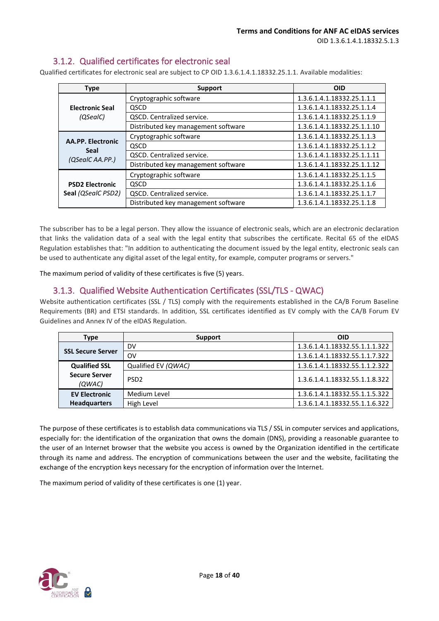## 3.1.2. Qualified certificates for electronic seal

<span id="page-17-0"></span>Qualified certificates for electronic seal are subject to CP OID 1.3.6.1.4.1.18332.25.1.1. Available modalities:

| <b>Type</b>              | Support                             | <b>OID</b>                  |
|--------------------------|-------------------------------------|-----------------------------|
|                          | Cryptographic software              | 1.3.6.1.4.1.18332.25.1.1.1  |
| <b>Electronic Seal</b>   | <b>QSCD</b>                         | 1.3.6.1.4.1.18332.25.1.1.4  |
| (QSealC)                 | <b>QSCD.</b> Centralized service.   | 1.3.6.1.4.1.18332.25.1.1.9  |
|                          | Distributed key management software | 1.3.6.1.4.1.18332.25.1.1.10 |
|                          | Cryptographic software              | 1.3.6.1.4.1.18332.25.1.1.3  |
| <b>AA.PP. Electronic</b> | QSCD                                | 1.3.6.1.4.1.18332.25.1.1.2  |
| Seal<br>(QSealC AA.PP.)  | QSCD. Centralized service.          | 1.3.6.1.4.1.18332.25.1.1.11 |
|                          | Distributed key management software | 1.3.6.1.4.1.18332.25.1.1.12 |
|                          | Cryptographic software              | 1.3.6.1.4.1.18332.25.1.1.5  |
| <b>PSD2 Electronic</b>   | QSCD                                | 1.3.6.1.4.1.18332.25.1.1.6  |
| Seal (QSealC PSD2)       | QSCD. Centralized service.          | 1.3.6.1.4.1.18332.25.1.1.7  |
|                          | Distributed key management software | 1.3.6.1.4.1.18332.25.1.1.8  |

The subscriber has to be a legal person. They allow the issuance of electronic seals, which are an electronic declaration that links the validation data of a seal with the legal entity that subscribes the certificate. Recital 65 of the eIDAS Regulation establishes that: "In addition to authenticating the document issued by the legal entity, electronic seals can be used to authenticate any digital asset of the legal entity, for example, computer programs or servers."

The maximum period of validity of these certificates is five (5) years.

## 3.1.3. Qualified Website Authentication Certificates (SSL/TLS - QWAC)

<span id="page-17-1"></span>Website authentication certificates (SSL / TLS) comply with the requirements established in the CA/B Forum Baseline Requirements (BR) and ETSI standards. In addition, SSL certificates identified as EV comply with the CA/B Forum EV Guidelines and Annex IV of the eIDAS Regulation.

| Type                           | Support             | <b>OID</b>                     |
|--------------------------------|---------------------|--------------------------------|
| <b>SSL Secure Server</b>       | DV                  | 1.3.6.1.4.1.18332.55.1.1.1.322 |
|                                | OV                  | 1.3.6.1.4.1.18332.55.1.1.7.322 |
| <b>Qualified SSL</b>           | Qualified EV (QWAC) | 1.3.6.1.4.1.18332.55.1.1.2.322 |
| <b>Secure Server</b><br>(QWAC) | PSD <sub>2</sub>    | 1.3.6.1.4.1.18332.55.1.1.8.322 |
| <b>EV Electronic</b>           | Medium Level        | 1.3.6.1.4.1.18332.55.1.1.5.322 |
| <b>Headquarters</b>            | High Level          | 1.3.6.1.4.1.18332.55.1.1.6.322 |

The purpose of these certificates is to establish data communications via TLS / SSL in computer services and applications, especially for: the identification of the organization that owns the domain (DNS), providing a reasonable guarantee to the user of an Internet browser that the website you access is owned by the Organization identified in the certificate through its name and address. The encryption of communications between the user and the website, facilitating the exchange of the encryption keys necessary for the encryption of information over the Internet.

The maximum period of validity of these certificates is one (1) year.

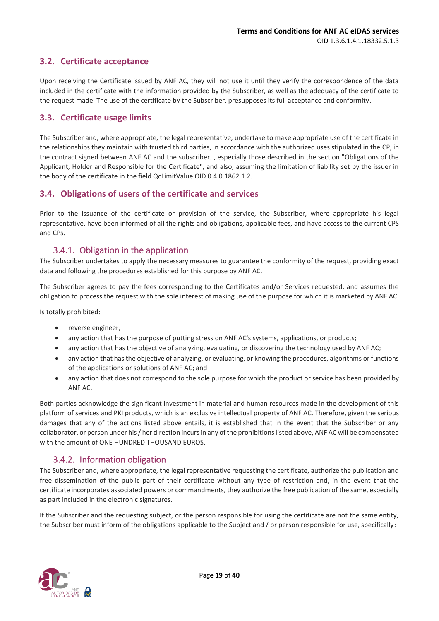## <span id="page-18-0"></span>**3.2. Certificate acceptance**

Upon receiving the Certificate issued by ANF AC, they will not use it until they verify the correspondence of the data included in the certificate with the information provided by the Subscriber, as well as the adequacy of the certificate to the request made. The use of the certificate by the Subscriber, presupposes its full acceptance and conformity.

#### <span id="page-18-1"></span>**3.3. Certificate usage limits**

The Subscriber and, where appropriate, the legal representative, undertake to make appropriate use of the certificate in the relationships they maintain with trusted third parties, in accordance with the authorized uses stipulated in the CP, in the contract signed between ANF AC and the subscriber. , especially those described in the section "Obligations of the Applicant, Holder and Responsible for the Certificate", and also, assuming the limitation of liability set by the issuer in the body of the certificate in the field QcLimitValue OID 0.4.0.1862.1.2.

### <span id="page-18-2"></span>**3.4. Obligations of users of the certificate and services**

Prior to the issuance of the certificate or provision of the service, the Subscriber, where appropriate his legal representative, have been informed of all the rights and obligations, applicable fees, and have access to the current CPS and CPs.

## 3.4.1. Obligation in the application

<span id="page-18-3"></span>The Subscriber undertakes to apply the necessary measures to guarantee the conformity of the request, providing exact data and following the procedures established for this purpose by ANF AC.

The Subscriber agrees to pay the fees corresponding to the Certificates and/or Services requested, and assumes the obligation to process the request with the sole interest of making use of the purpose for which it is marketed by ANF AC.

Is totally prohibited:

- reverse engineer:
- any action that has the purpose of putting stress on ANF AC's systems, applications, or products;
- any action that has the objective of analyzing, evaluating, or discovering the technology used by ANF AC;
- any action that has the objective of analyzing, or evaluating, or knowing the procedures, algorithms or functions of the applications or solutions of ANF AC; and
- any action that does not correspond to the sole purpose for which the product or service has been provided by ANF AC.

Both parties acknowledge the significant investment in material and human resources made in the development of this platform of services and PKI products, which is an exclusive intellectual property of ANF AC. Therefore, given the serious damages that any of the actions listed above entails, it is established that in the event that the Subscriber or any collaborator, or person under his / her direction incurs in any of the prohibitions listed above, ANF AC will be compensated with the amount of ONE HUNDRED THOUSAND EUROS.

## 3.4.2. Information obligation

<span id="page-18-4"></span>The Subscriber and, where appropriate, the legal representative requesting the certificate, authorize the publication and free dissemination of the public part of their certificate without any type of restriction and, in the event that the certificate incorporates associated powers or commandments, they authorize the free publication of the same, especially as part included in the electronic signatures.

If the Subscriber and the requesting subject, or the person responsible for using the certificate are not the same entity, the Subscriber must inform of the obligations applicable to the Subject and / or person responsible for use, specifically:

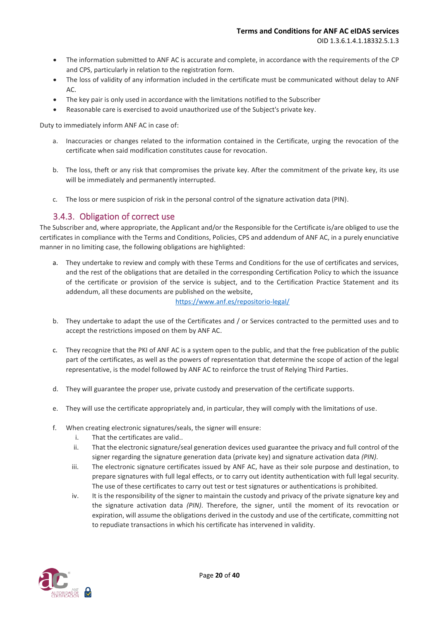- The information submitted to ANF AC is accurate and complete, in accordance with the requirements of the CP and CPS, particularly in relation to the registration form.
- The loss of validity of any information included in the certificate must be communicated without delay to ANF  $AC$
- The key pair is only used in accordance with the limitations notified to the Subscriber
- Reasonable care is exercised to avoid unauthorized use of the Subject's private key.

Duty to immediately inform ANF AC in case of:

- a. Inaccuracies or changes related to the information contained in the Certificate, urging the revocation of the certificate when said modification constitutes cause for revocation.
- b. The loss, theft or any risk that compromises the private key. After the commitment of the private key, its use will be immediately and permanently interrupted.
- c. The loss or mere suspicion of risk in the personal control of the signature activation data (PIN).

### 3.4.3. Obligation of correct use

<span id="page-19-0"></span>The Subscriber and, where appropriate, the Applicant and/or the Responsible for the Certificate is/are obliged to use the certificates in compliance with the Terms and Conditions, Policies, CPS and addendum of ANF AC, in a purely enunciative manner in no limiting case, the following obligations are highlighted:

a. They undertake to review and comply with these Terms and Conditions for the use of certificates and services, and the rest of the obligations that are detailed in the corresponding Certification Policy to which the issuance of the certificate or provision of the service is subject, and to the Certification Practice Statement and its addendum, all these documents are published on the website,

<https://www.anf.es/repositorio-legal/>

- b. They undertake to adapt the use of the Certificates and / or Services contracted to the permitted uses and to accept the restrictions imposed on them by ANF AC.
- c. They recognize that the PKI of ANF AC is a system open to the public, and that the free publication of the public part of the certificates, as well as the powers of representation that determine the scope of action of the legal representative, is the model followed by ANF AC to reinforce the trust of Relying Third Parties.
- d. They will guarantee the proper use, private custody and preservation of the certificate supports.
- e. They will use the certificate appropriately and, in particular, they will comply with the limitations of use.
- f. When creating electronic signatures/seals, the signer will ensure:
	- i. That the certificates are valid..
	- ii. That the electronic signature/seal generation devices used guarantee the privacy and full control of the signer regarding the signature generation data (private key) and signature activation data *(PIN)*.
	- iii. The electronic signature certificates issued by ANF AC, have as their sole purpose and destination, to prepare signatures with full legal effects, or to carry out identity authentication with full legal security. The use of these certificates to carry out test or test signatures or authentications is prohibited.
	- iv. It is the responsibility of the signer to maintain the custody and privacy of the private signature key and the signature activation data *(PIN)*. Therefore, the signer, until the moment of its revocation or expiration, will assume the obligations derived in the custody and use of the certificate, committing not to repudiate transactions in which his certificate has intervened in validity.

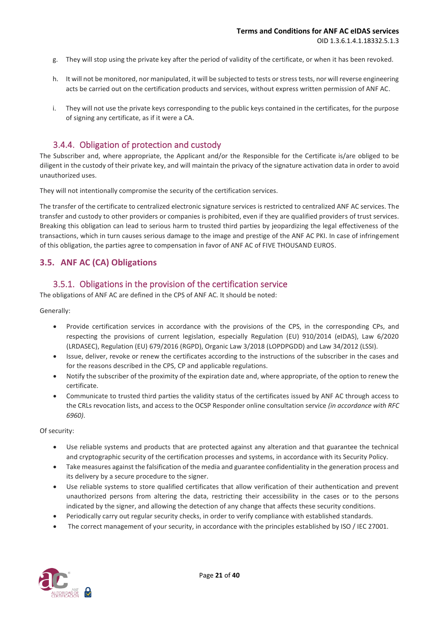- g. They will stop using the private key after the period of validity of the certificate, or when it has been revoked.
- h. It will not be monitored, nor manipulated, it will be subjected to tests or stress tests, nor will reverse engineering acts be carried out on the certification products and services, without express written permission of ANF AC.
- i. They will not use the private keys corresponding to the public keys contained in the certificates, for the purpose of signing any certificate, as if it were a CA.

### 3.4.4. Obligation of protection and custody

<span id="page-20-0"></span>The Subscriber and, where appropriate, the Applicant and/or the Responsible for the Certificate is/are obliged to be diligent in the custody of their private key, and will maintain the privacy of the signature activation data in order to avoid unauthorized uses.

They will not intentionally compromise the security of the certification services.

The transfer of the certificate to centralized electronic signature services is restricted to centralized ANF AC services. The transfer and custody to other providers or companies is prohibited, even if they are qualified providers of trust services. Breaking this obligation can lead to serious harm to trusted third parties by jeopardizing the legal effectiveness of the transactions, which in turn causes serious damage to the image and prestige of the ANF AC PKI. In case of infringement of this obligation, the parties agree to compensation in favor of ANF AC of FIVE THOUSAND EUROS.

#### <span id="page-20-1"></span>**3.5. ANF AC (CA) Obligations**

#### 3.5.1. Obligations in the provision of the certification service

<span id="page-20-2"></span>The obligations of ANF AC are defined in the CPS of ANF AC. It should be noted:

Generally:

- Provide certification services in accordance with the provisions of the CPS, in the corresponding CPs, and respecting the provisions of current legislation, especially Regulation (EU) 910/2014 (eIDAS), Law 6/2020 (LRDASEC), Regulation (EU) 679/2016 (RGPD), Organic Law 3/2018 (LOPDPGDD) and Law 34/2012 (LSSI).
- Issue, deliver, revoke or renew the certificates according to the instructions of the subscriber in the cases and for the reasons described in the CPS, CP and applicable regulations.
- Notify the subscriber of the proximity of the expiration date and, where appropriate, of the option to renew the certificate.
- Communicate to trusted third parties the validity status of the certificates issued by ANF AC through access to the CRLs revocation lists, and access to the OCSP Responder online consultation service *(in accordance with RFC 6960)*.

Of security:

- Use reliable systems and products that are protected against any alteration and that guarantee the technical and cryptographic security of the certification processes and systems, in accordance with its Security Policy.
- Take measures against the falsification of the media and guarantee confidentiality in the generation process and its delivery by a secure procedure to the signer.
- Use reliable systems to store qualified certificates that allow verification of their authentication and prevent unauthorized persons from altering the data, restricting their accessibility in the cases or to the persons indicated by the signer, and allowing the detection of any change that affects these security conditions.
- Periodically carry out regular security checks, in order to verify compliance with established standards.
- The correct management of your security, in accordance with the principles established by ISO / IEC 27001.

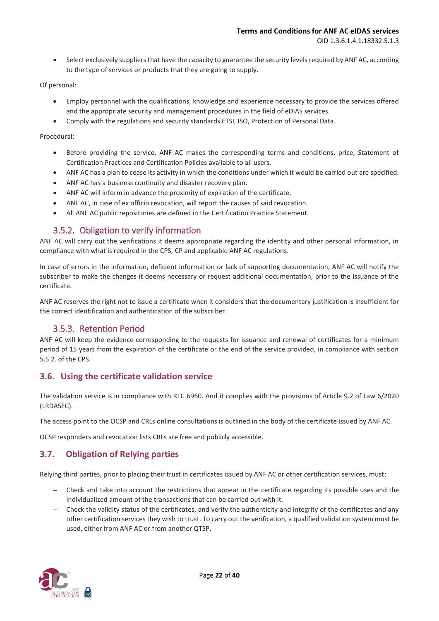• Select exclusively suppliers that have the capacity to guarantee the security levels required by ANF AC, according to the type of services or products that they are going to supply.

#### Of personal:

- Employ personnel with the qualifications, knowledge and experience necessary to provide the services offered and the appropriate security and management procedures in the field of eDIAS services.
- Comply with the regulations and security standards ETSI, ISO, Protection of Personal Data.

#### Procedural:

- Before providing the service, ANF AC makes the corresponding terms and conditions, price, Statement of Certification Practices and Certification Policies available to all users.
- ANF AC has a plan to cease its activity in which the conditions under which it would be carried out are specified.
- ANF AC has a business continuity and disaster recovery plan.
- ANF AC will inform in advance the proximity of expiration of the certificate.
- ANF AC, in case of ex officio revocation, will report the causes of said revocation.
- All ANF AC public repositories are defined in the Certification Practice Statement.

## 3.5.2. Obligation to verify information

<span id="page-21-0"></span>ANF AC will carry out the verifications it deems appropriate regarding the identity and other personal information, in compliance with what is required in the CPS, CP and applicable ANF AC regulations.

In case of errors in the information, deficient information or lack of supporting documentation, ANF AC will notify the subscriber to make the changes it deems necessary or request additional documentation, prior to the issuance of the certificate.

ANF AC reserves the right not to issue a certificate when it considers that the documentary justification is insufficient for the correct identification and authentication of the subscriber.

## 3.5.3. Retention Period

<span id="page-21-1"></span>ANF AC will keep the evidence corresponding to the requests for issuance and renewal of certificates for a minimum period of 15 years from the expiration of the certificate or the end of the service provided, in compliance with section 5.5.2. of the CPS.

#### <span id="page-21-2"></span>**3.6. Using the certificate validation service**

The validation service is in compliance with RFC 6960. And it complies with the provisions of Article 9.2 of Law 6/2020 (LRDASEC).

The access point to the OCSP and CRLs online consultations is outlined in the body of the certificate issued by ANF AC.

OCSP responders and revocation lists CRLs are free and publicly accessible.

## <span id="page-21-3"></span>**3.7. Obligation of Relying parties**

Relying third parties, prior to placing their trust in certificates issued by ANF AC or other certification services, must:

- ─ Check and take into account the restrictions that appear in the certificate regarding its possible uses and the individualized amount of the transactions that can be carried out with it.
- Check the validity status of the certificates, and verify the authenticity and integrity of the certificates and any other certification services they wish to trust. To carry out the verification, a qualified validation system must be used, either from ANF AC or from another QTSP.

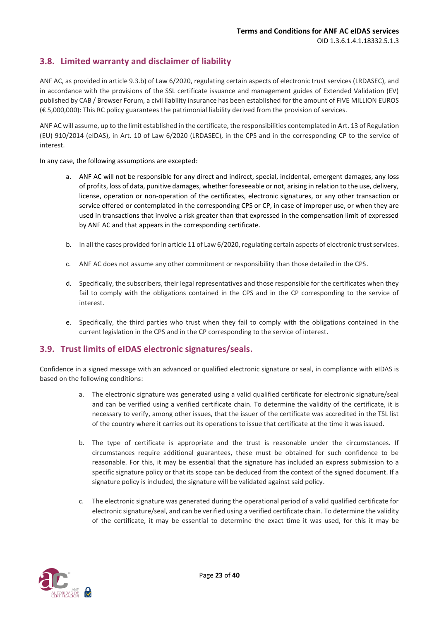## <span id="page-22-0"></span>**3.8. Limited warranty and disclaimer of liability**

ANF AC, as provided in article 9.3.b) of Law 6/2020, regulating certain aspects of electronic trust services (LRDASEC), and in accordance with the provisions of the SSL certificate issuance and management guides of Extended Validation (EV) published by CAB / Browser Forum, a civil liability insurance has been established for the amount of FIVE MILLION EUROS (€ 5,000,000): This RC policy guarantees the patrimonial liability derived from the provision of services.

ANF AC will assume, up to the limit established in the certificate, the responsibilities contemplated in Art. 13 of Regulation (EU) 910/2014 (eIDAS), in Art. 10 of Law 6/2020 (LRDASEC), in the CPS and in the corresponding CP to the service of interest.

In any case, the following assumptions are excepted:

- a. ANF AC will not be responsible for any direct and indirect, special, incidental, emergent damages, any loss of profits, loss of data, punitive damages, whether foreseeable or not, arising in relation to the use, delivery, license, operation or non-operation of the certificates, electronic signatures, or any other transaction or service offered or contemplated in the corresponding CPS or CP, in case of improper use, or when they are used in transactions that involve a risk greater than that expressed in the compensation limit of expressed by ANF AC and that appears in the corresponding certificate.
- b. In all the cases provided for in article 11 of Law 6/2020, regulating certain aspects of electronic trust services.
- c. ANF AC does not assume any other commitment or responsibility than those detailed in the CPS.
- d. Specifically, the subscribers, their legal representatives and those responsible for the certificates when they fail to comply with the obligations contained in the CPS and in the CP corresponding to the service of interest.
- e. Specifically, the third parties who trust when they fail to comply with the obligations contained in the current legislation in the CPS and in the CP corresponding to the service of interest.

#### <span id="page-22-1"></span>**3.9. Trust limits of eIDAS electronic signatures/seals.**

Confidence in a signed message with an advanced or qualified electronic signature or seal, in compliance with eIDAS is based on the following conditions:

- a. The electronic signature was generated using a valid qualified certificate for electronic signature/seal and can be verified using a verified certificate chain. To determine the validity of the certificate, it is necessary to verify, among other issues, that the issuer of the certificate was accredited in the TSL list of the country where it carries out its operations to issue that certificate at the time it was issued.
- b. The type of certificate is appropriate and the trust is reasonable under the circumstances. If circumstances require additional guarantees, these must be obtained for such confidence to be reasonable. For this, it may be essential that the signature has included an express submission to a specific signature policy or that its scope can be deduced from the context of the signed document. If a signature policy is included, the signature will be validated against said policy.
- c. The electronic signature was generated during the operational period of a valid qualified certificate for electronic signature/seal, and can be verified using a verified certificate chain. To determine the validity of the certificate, it may be essential to determine the exact time it was used, for this it may be

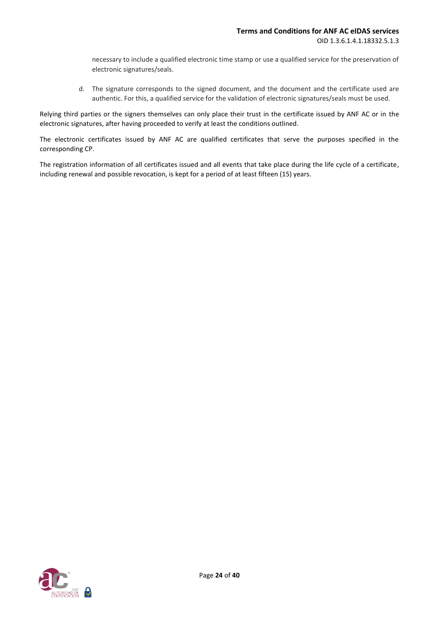necessary to include a qualified electronic time stamp or use a qualified service for the preservation of electronic signatures/seals.

d. The signature corresponds to the signed document, and the document and the certificate used are authentic. For this, a qualified service for the validation of electronic signatures/seals must be used.

Relying third parties or the signers themselves can only place their trust in the certificate issued by ANF AC or in the electronic signatures, after having proceeded to verify at least the conditions outlined.

The electronic certificates issued by ANF AC are qualified certificates that serve the purposes specified in the corresponding CP.

The registration information of all certificates issued and all events that take place during the life cycle of a certificate, including renewal and possible revocation, is kept for a period of at least fifteen (15) years.

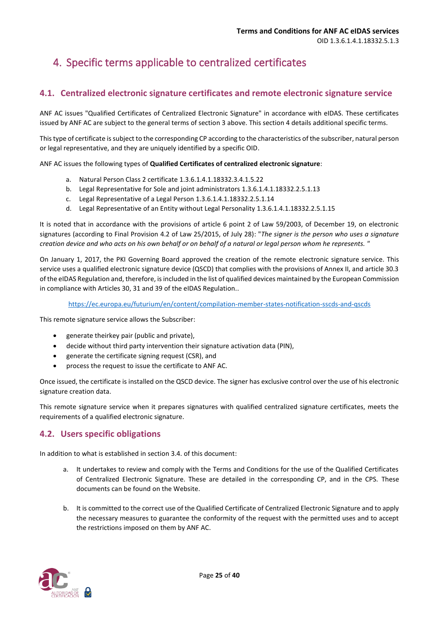## <span id="page-24-0"></span>4. Specific terms applicable to centralized certificates

## <span id="page-24-1"></span>**4.1. Centralized electronic signature certificates and remote electronic signature service**

ANF AC issues "Qualified Certificates of Centralized Electronic Signature" in accordance with eIDAS. These certificates issued by ANF AC are subject to the general terms of section 3 above. This section 4 details additional specific terms.

This type of certificate is subject to the corresponding CP according to the characteristics of the subscriber, natural person or legal representative, and they are uniquely identified by a specific OID.

ANF AC issues the following types of **Qualified Certificates of centralized electronic signature**:

- a. Natural Person Class 2 certificate 1.3.6.1.4.1.18332.3.4.1.5.22
- b. Legal Representative for Sole and joint administrators 1.3.6.1.4.1.18332.2.5.1.13
- c. Legal Representative of a Legal Person 1.3.6.1.4.1.18332.2.5.1.14
- d. Legal Representative of an Entity without Legal Personality 1.3.6.1.4.1.18332.2.5.1.15

It is noted that in accordance with the provisions of article 6 point 2 of Law 59/2003, of December 19, on electronic signatures (according to Final Provision 4.2 of Law 25/2015, of July 28): "*The signer is the person who uses a signature creation device and who acts on his own behalf or on behalf of a natural or legal person whom he represents. "*

On January 1, 2017, the PKI Governing Board approved the creation of the remote electronic signature service. This service uses a qualified electronic signature device (QSCD) that complies with the provisions of Annex II, and article 30.3 of the eIDAS Regulation and, therefore, is included in the list of qualified devices maintained by the European Commission in compliance with Articles 30, 31 and 39 of the eIDAS Regulation..

<https://ec.europa.eu/futurium/en/content/compilation-member-states-notification-sscds-and-qscds>

This remote signature service allows the Subscriber:

- generate theirkey pair (public and private),
- decide without third party intervention their signature activation data (PIN),
- generate the certificate signing request (CSR), and
- process the request to issue the certificate to ANF AC.

Once issued, the certificate is installed on the QSCD device. The signer has exclusive control over the use of his electronic signature creation data.

This remote signature service when it prepares signatures with qualified centralized signature certificates, meets the requirements of a qualified electronic signature.

## <span id="page-24-2"></span>**4.2. Users specific obligations**

In addition to what is established in section 3.4. of this document:

- a. It undertakes to review and comply with the Terms and Conditions for the use of the Qualified Certificates of Centralized Electronic Signature. These are detailed in the corresponding CP, and in the CPS. These documents can be found on the Website.
- b. It is committed to the correct use of the Qualified Certificate of Centralized Electronic Signature and to apply the necessary measures to guarantee the conformity of the request with the permitted uses and to accept the restrictions imposed on them by ANF AC.

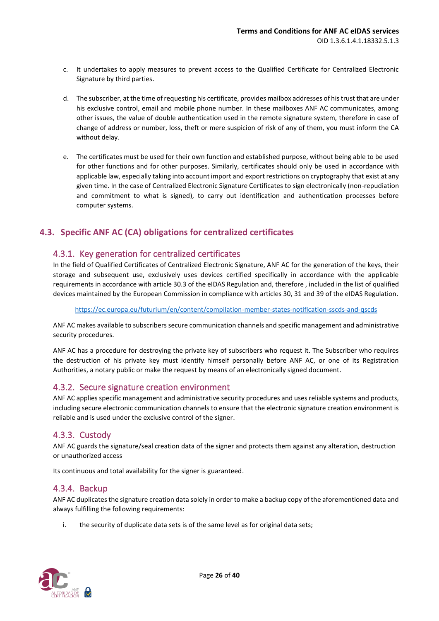- c. It undertakes to apply measures to prevent access to the Qualified Certificate for Centralized Electronic Signature by third parties.
- d. The subscriber, at the time of requesting his certificate, provides mailbox addresses of his trust that are under his exclusive control, email and mobile phone number. In these mailboxes ANF AC communicates, among other issues, the value of double authentication used in the remote signature system, therefore in case of change of address or number, loss, theft or mere suspicion of risk of any of them, you must inform the CA without delay.
- e. The certificates must be used for their own function and established purpose, without being able to be used for other functions and for other purposes. Similarly, certificates should only be used in accordance with applicable law, especially taking into account import and export restrictions on cryptography that exist at any given time. In the case of Centralized Electronic Signature Certificates to sign electronically (non-repudiation and commitment to what is signed), to carry out identification and authentication processes before computer systems.

## <span id="page-25-0"></span>**4.3. Specific ANF AC (CA) obligations for centralized certificates**

## <span id="page-25-1"></span>4.3.1. Key generation for centralized certificates

In the field of Qualified Certificates of Centralized Electronic Signature, ANF AC for the generation of the keys, their storage and subsequent use, exclusively uses devices certified specifically in accordance with the applicable requirements in accordance with article 30.3 of the eIDAS Regulation and, therefore , included in the list of qualified devices maintained by the European Commission in compliance with articles 30, 31 and 39 of the eIDAS Regulation.

<https://ec.europa.eu/futurium/en/content/compilation-member-states-notification-sscds-and-qscds>

ANF AC makes available to subscribers secure communication channels and specific management and administrative security procedures.

ANF AC has a procedure for destroying the private key of subscribers who request it. The Subscriber who requires the destruction of his private key must identify himself personally before ANF AC, or one of its Registration Authorities, a notary public or make the request by means of an electronically signed document.

#### <span id="page-25-2"></span>4.3.2. Secure signature creation environment

ANF AC applies specific management and administrative security procedures and uses reliable systems and products, including secure electronic communication channels to ensure that the electronic signature creation environment is reliable and is used under the exclusive control of the signer.

## <span id="page-25-3"></span>4.3.3. Custody

ANF AC guards the signature/seal creation data of the signer and protects them against any alteration, destruction or unauthorized access

Its continuous and total availability for the signer is guaranteed.

#### <span id="page-25-4"></span>4.3.4. Backup

ANF AC duplicates the signature creation data solely in order to make a backup copy of the aforementioned data and always fulfilling the following requirements:

i. the security of duplicate data sets is of the same level as for original data sets;

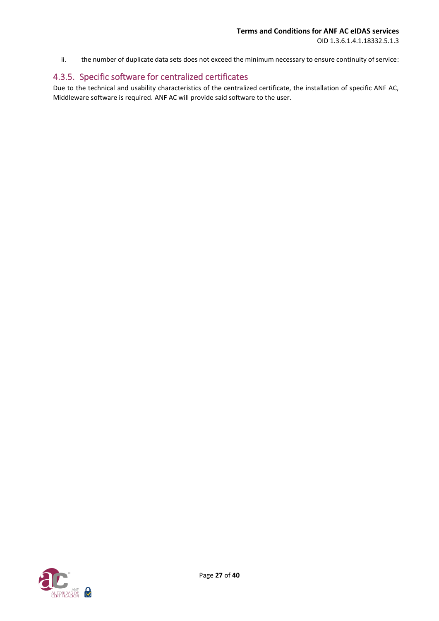OID 1.3.6.1.4.1.18332.5.1.3

ii. the number of duplicate data sets does not exceed the minimum necessary to ensure continuity of service:

## <span id="page-26-0"></span>4.3.5. Specific software for centralized certificates

Due to the technical and usability characteristics of the centralized certificate, the installation of specific ANF AC, Middleware software is required. ANF AC will provide said software to the user.

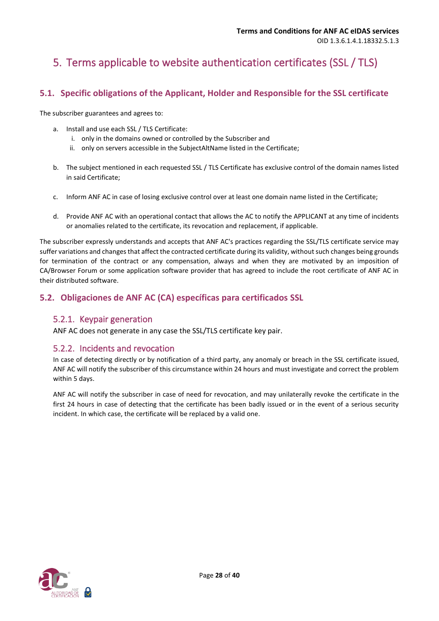## <span id="page-27-0"></span>5. Terms applicable to website authentication certificates (SSL / TLS)

## <span id="page-27-1"></span>**5.1. Specific obligations of the Applicant, Holder and Responsible for the SSL certificate**

The subscriber guarantees and agrees to:

- a. Install and use each SSL / TLS Certificate:
	- i. only in the domains owned or controlled by the Subscriber and
	- ii. only on servers accessible in the SubjectAltName listed in the Certificate;
- b. The subject mentioned in each requested SSL / TLS Certificate has exclusive control of the domain names listed in said Certificate;
- c. Inform ANF AC in case of losing exclusive control over at least one domain name listed in the Certificate;
- d. Provide ANF AC with an operational contact that allows the AC to notify the APPLICANT at any time of incidents or anomalies related to the certificate, its revocation and replacement, if applicable.

The subscriber expressly understands and accepts that ANF AC's practices regarding the SSL/TLS certificate service may suffer variations and changes that affect the contracted certificate during its validity, without such changes being grounds for termination of the contract or any compensation, always and when they are motivated by an imposition of CA/Browser Forum or some application software provider that has agreed to include the root certificate of ANF AC in their distributed software.

## <span id="page-27-2"></span>**5.2. Obligaciones de ANF AC (CA) específicas para certificados SSL**

#### <span id="page-27-3"></span>5.2.1. Keypair generation

ANF AC does not generate in any case the SSL/TLS certificate key pair.

#### <span id="page-27-4"></span>5.2.2. Incidents and revocation

In case of detecting directly or by notification of a third party, any anomaly or breach in the SSL certificate issued, ANF AC will notify the subscriber of this circumstance within 24 hours and must investigate and correct the problem within 5 days.

ANF AC will notify the subscriber in case of need for revocation, and may unilaterally revoke the certificate in the first 24 hours in case of detecting that the certificate has been badly issued or in the event of a serious security incident. In which case, the certificate will be replaced by a valid one.

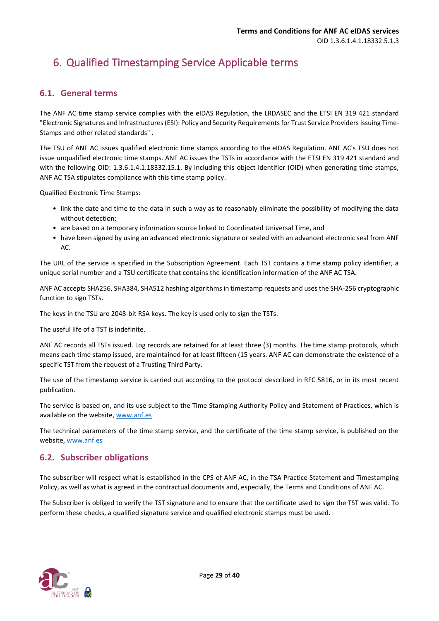## <span id="page-28-0"></span>6. Qualified Timestamping Service Applicable terms

## <span id="page-28-1"></span>**6.1. General terms**

The ANF AC time stamp service complies with the eIDAS Regulation, the LRDASEC and the ETSI EN 319 421 standard "Electronic Signatures and Infrastructures (ESI): Policy and Security Requirements for Trust Service Providers issuing Time-Stamps and other related standards" .

The TSU of ANF AC issues qualified electronic time stamps according to the eIDAS Regulation. ANF AC's TSU does not issue unqualified electronic time stamps. ANF AC issues the TSTs in accordance with the ETSI EN 319 421 standard and with the following OID: 1.3.6.1.4.1.18332.15.1. By including this object identifier (OID) when generating time stamps, ANF AC TSA stipulates compliance with this time stamp policy.

Qualified Electronic Time Stamps:

- link the date and time to the data in such a way as to reasonably eliminate the possibility of modifying the data without detection:
- are based on a temporary information source linked to Coordinated Universal Time, and
- have been signed by using an advanced electronic signature or sealed with an advanced electronic seal from ANF AC.

The URL of the service is specified in the Subscription Agreement. Each TST contains a time stamp policy identifier, a unique serial number and a TSU certificate that contains the identification information of the ANF AC TSA.

ANF AC accepts SHA256, SHA384, SHA512 hashing algorithms in timestamp requests and uses the SHA-256 cryptographic function to sign TSTs.

The keys in the TSU are 2048-bit RSA keys. The key is used only to sign the TSTs.

The useful life of a TST is indefinite.

ANF AC records all TSTs issued. Log records are retained for at least three (3) months. The time stamp protocols, which means each time stamp issued, are maintained for at least fifteen (15 years. ANF AC can demonstrate the existence of a specific TST from the request of a Trusting Third Party.

The use of the timestamp service is carried out according to the protocol described in RFC 5816, or in its most recent publication.

The service is based on, and its use subject to the Time Stamping Authority Policy and Statement of Practices, which is available on the website[, www.anf.es](http://www.anf.es/)

The technical parameters of the time stamp service, and the certificate of the time stamp service, is published on the website[, www.anf.es](http://www.anf.es/)

## <span id="page-28-2"></span>**6.2. Subscriber obligations**

The subscriber will respect what is established in the CPS of ANF AC, in the TSA Practice Statement and Timestamping Policy, as well as what is agreed in the contractual documents and, especially, the Terms and Conditions of ANF AC.

The Subscriber is obliged to verify the TST signature and to ensure that the certificate used to sign the TST was valid. To perform these checks, a qualified signature service and qualified electronic stamps must be used.

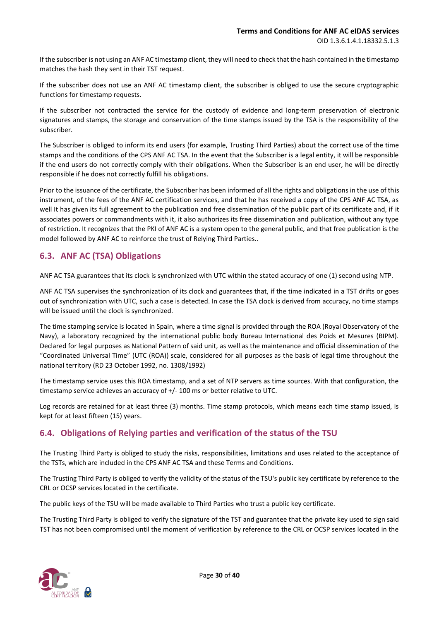If the subscriber is not using an ANF AC timestamp client, they will need to check that the hash contained in the timestamp matches the hash they sent in their TST request.

If the subscriber does not use an ANF AC timestamp client, the subscriber is obliged to use the secure cryptographic functions for timestamp requests.

If the subscriber not contracted the service for the custody of evidence and long-term preservation of electronic signatures and stamps, the storage and conservation of the time stamps issued by the TSA is the responsibility of the subscriber.

The Subscriber is obliged to inform its end users (for example, Trusting Third Parties) about the correct use of the time stamps and the conditions of the CPS ANF AC TSA. In the event that the Subscriber is a legal entity, it will be responsible if the end users do not correctly comply with their obligations. When the Subscriber is an end user, he will be directly responsible if he does not correctly fulfill his obligations.

Prior to the issuance of the certificate, the Subscriber has been informed of all the rights and obligations in the use of this instrument, of the fees of the ANF AC certification services, and that he has received a copy of the CPS ANF AC TSA, as well It has given its full agreement to the publication and free dissemination of the public part of its certificate and, if it associates powers or commandments with it, it also authorizes its free dissemination and publication, without any type of restriction. It recognizes that the PKI of ANF AC is a system open to the general public, and that free publication is the model followed by ANF AC to reinforce the trust of Relying Third Parties..

## <span id="page-29-0"></span>**6.3. ANF AC (TSA) Obligations**

ANF AC TSA guarantees that its clock is synchronized with UTC within the stated accuracy of one (1) second using NTP.

ANF AC TSA supervises the synchronization of its clock and guarantees that, if the time indicated in a TST drifts or goes out of synchronization with UTC, such a case is detected. In case the TSA clock is derived from accuracy, no time stamps will be issued until the clock is synchronized.

The time stamping service is located in Spain, where a time signal is provided through the ROA (Royal Observatory of the Navy), a laboratory recognized by the international public body Bureau International des Poids et Mesures (BIPM). Declared for legal purposes as National Pattern of said unit, as well as the maintenance and official dissemination of the "Coordinated Universal Time" (UTC (ROA)) scale, considered for all purposes as the basis of legal time throughout the national territory (RD 23 October 1992, no. 1308/1992)

The timestamp service uses this ROA timestamp, and a set of NTP servers as time sources. With that configuration, the timestamp service achieves an accuracy of +/- 100 ms or better relative to UTC.

Log records are retained for at least three (3) months. Time stamp protocols, which means each time stamp issued, is kept for at least fifteen (15) years.

## <span id="page-29-1"></span>**6.4. Obligations of Relying parties and verification of the status of the TSU**

The Trusting Third Party is obliged to study the risks, responsibilities, limitations and uses related to the acceptance of the TSTs, which are included in the CPS ANF AC TSA and these Terms and Conditions.

The Trusting Third Party is obliged to verify the validity of the status of the TSU's public key certificate by reference to the CRL or OCSP services located in the certificate.

The public keys of the TSU will be made available to Third Parties who trust a public key certificate.

The Trusting Third Party is obliged to verify the signature of the TST and guarantee that the private key used to sign said TST has not been compromised until the moment of verification by reference to the CRL or OCSP services located in the

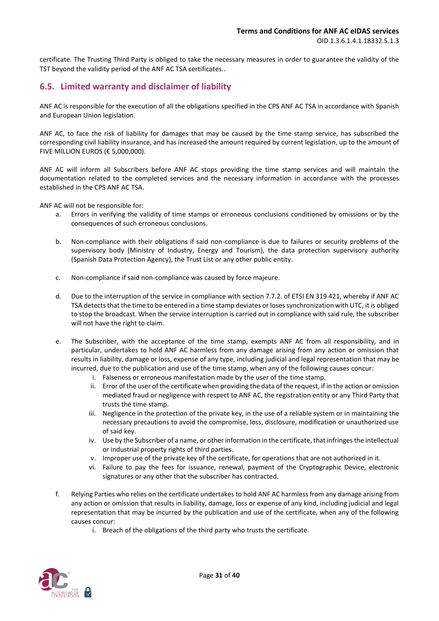certificate. The Trusting Third Party is obliged to take the necessary measures in order to guarantee the validity of the TST beyond the validity period of the ANF AC TSA certificates..

## <span id="page-30-0"></span>**6.5. Limited warranty and disclaimer of liability**

ANF AC is responsible for the execution of all the obligations specified in the CPS ANF AC TSA in accordance with Spanish and European Union legislation.

ANF AC, to face the risk of liability for damages that may be caused by the time stamp service, has subscribed the corresponding civil liability insurance, and has increased the amount required by current legislation, up to the amount of FIVE MILLION EUROS ( $\epsilon$  5,000,000).

ANF AC will inform all Subscribers before ANF AC stops providing the time stamp services and will maintain the documentation related to the completed services and the necessary information in accordance with the processes established in the CPS ANF AC TSA.

ANF AC will not be responsible for:

- a. Errors in verifying the validity of time stamps or erroneous conclusions conditioned by omissions or by the consequences of such erroneous conclusions.
- b. Non-compliance with their obligations if said non-compliance is due to failures or security problems of the supervisory body (Ministry of Industry, Energy and Tourism), the data protection supervisory authority (Spanish Data Protection Agency), the Trust List or any other public entity.
- c. Non-compliance if said non-compliance was caused by force majeure.
- d. Due to the interruption of the service in compliance with section 7.7.2. of ETSI EN 319 421, whereby if ANF AC TSA detects that the time to be entered in a time stamp deviates or loses synchronization with UTC, it is obliged to stop the broadcast. When the service interruption is carried out in compliance with said rule, the subscriber will not have the right to claim.
- e. The Subscriber, with the acceptance of the time stamp, exempts ANF AC from all responsibility, and in particular, undertakes to hold ANF AC harmless from any damage arising from any action or omission that results in liability, damage or loss, expense of any type, including judicial and legal representation that may be incurred, due to the publication and use of the time stamp, when any of the following causes concur:
	- i. Falseness or erroneous manifestation made by the user of the time stamp.
	- ii. Error of the user of the certificate when providing the data of the request, if in the action or omission mediated fraud or negligence with respect to ANF AC, the registration entity or any Third Party that trusts the time stamp.
	- iii. Negligence in the protection of the private key, in the use of a reliable system or in maintaining the necessary precautions to avoid the compromise, loss, disclosure, modification or unauthorized use of said key.
	- iv. Use by the Subscriber of a name, or other information in the certificate, that infringes the intellectual or industrial property rights of third parties.
	- v. Improper use of the private key of the certificate, for operations that are not authorized in it.
	- vi. Failure to pay the fees for issuance, renewal, payment of the Cryptographic Device, electronic signatures or any other that the subscriber has contracted.
- f. Relying Parties who relies on the certificate undertakes to hold ANF AC harmless from any damage arising from any action or omission that results in liability, damage, loss or expense of any kind, including judicial and legal representation that may be incurred by the publication and use of the certificate, when any of the following causes concur:
	- i. Breach of the obligations of the third party who trusts the certificate.

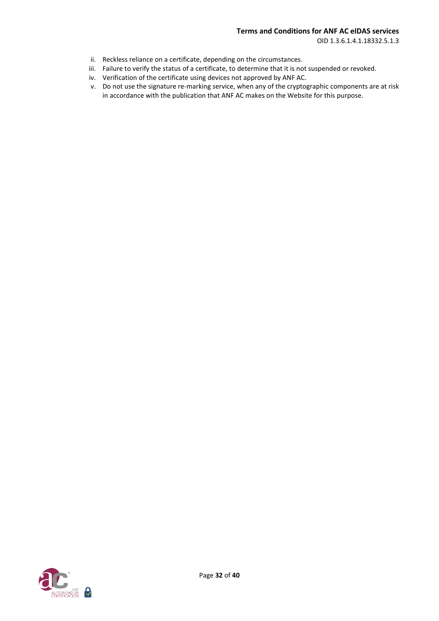OID 1.3.6.1.4.1.18332.5.1.3

- ii. Reckless reliance on a certificate, depending on the circumstances.
- iii. Failure to verify the status of a certificate, to determine that it is not suspended or revoked.
- iv. Verification of the certificate using devices not approved by ANF AC.
- v. Do not use the signature re-marking service, when any of the cryptographic components are at risk in accordance with the publication that ANF AC makes on the Website for this purpose.

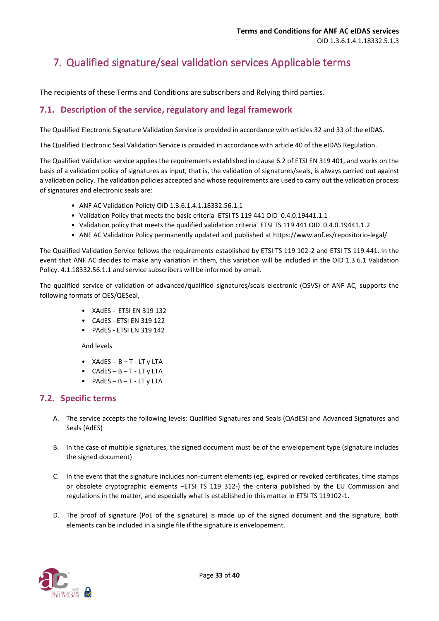## <span id="page-32-0"></span>7. Qualified signature/seal validation services Applicable terms

The recipients of these Terms and Conditions are subscribers and Relying third parties.

## <span id="page-32-1"></span>**7.1. Description of the service, regulatory and legal framework**

The Qualified Electronic Signature Validation Service is provided in accordance with articles 32 and 33 of the eIDAS.

The Qualified Electronic Seal Validation Service is provided in accordance with article 40 of the eIDAS Regulation.

The Qualified Validation service applies the requirements established in clause 6.2 of ETSI EN 319 401, and works on the basis of a validation policy of signatures as input, that is, the validation of signatures/seals, is always carried out against a validation policy. The validation policies accepted and whose requirements are used to carry out the validation process of signatures and electronic seals are:

- ANF AC Validation Policty OID 1.3.6.1.4.1.18332.56.1.1
- Validation Policy that meets the basic criteria ETSI TS 119 441 OID 0.4.0.19441.1.1
- Validation policy that meets the qualified validation criteria ETSI TS 119 441 OID 0.4.0.19441.1.2
- ANF AC Validation Policy permanently updated and published at https://www.anf.es/repositorio-legal/

The Qualified Validation Service follows the requirements established by ETSI TS 119 102-2 and ETSI TS 119 441. In the event that ANF AC decides to make any variation in them, this variation will be included in the OID 1.3.6.1 Validation Policy. 4.1.18332.56.1.1 and service subscribers will be informed by email.

The qualified service of validation of advanced/qualified signatures/seals electronic (QSVS) of ANF AC, supports the following formats of QES/QESeal,

- XAdES ETSI EN 319 132
- CAdES ETSI EN 319 122
- PAdES ETSI EN 319 142

And levels

- XAdES B T LT y LTA
- $\bullet$  CAdES B T LT y LTA
- $\bullet$  PAdES B T LT y LTA

#### <span id="page-32-2"></span>**7.2. Specific terms**

- A. The service accepts the following levels: Qualified Signatures and Seals (QAdES) and Advanced Signatures and Seals (AdES)
- B. In the case of multiple signatures, the signed document must be of the envelopement type (signature includes the signed document)
- C. In the event that the signature includes non-current elements (eg, expired or revoked certificates, time stamps or obsolete cryptographic elements –ETSI TS 119 312-) the criteria published by the EU Commission and regulations in the matter, and especially what is established in this matter in ETSI TS 119102-1.
- D. The proof of signature (PoE of the signature) is made up of the signed document and the signature, both elements can be included in a single file if the signature is envelopement.

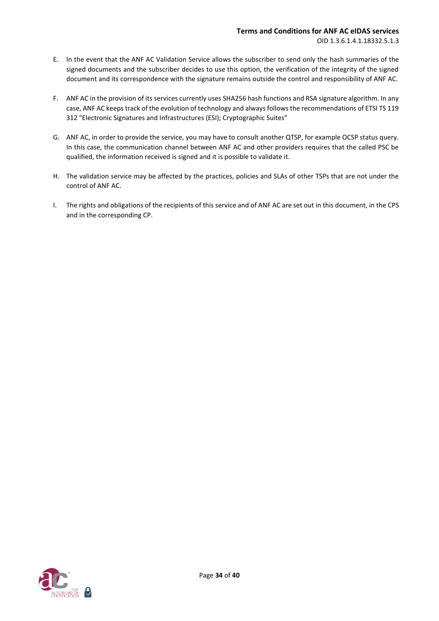#### **Terms and Conditions for ANF AC eIDAS services** OID 1.3.6.1.4.1.18332.5.1.3

- E. In the event that the ANF AC Validation Service allows the subscriber to send only the hash summaries of the signed documents and the subscriber decides to use this option, the verification of the integrity of the signed document and its correspondence with the signature remains outside the control and responsibility of ANF AC.
- F. ANF AC in the provision of its services currently uses SHA256 hash functions and RSA signature algorithm. In any case, ANF AC keeps track of the evolution of technology and always follows the recommendations of ETSI TS 119 312 "Electronic Signatures and Infrastructures (ESI); Cryptographic Suites"
- G. ANF AC, in order to provide the service, you may have to consult another QTSP, for example OCSP status query. In this case, the communication channel between ANF AC and other providers requires that the called PSC be qualified, the information received is signed and it is possible to validate it.
- H. The validation service may be affected by the practices, policies and SLAs of other TSPs that are not under the control of ANF AC.
- I. The rights and obligations of the recipients of this service and of ANF AC are set out in this document, in the CPS and in the corresponding CP.

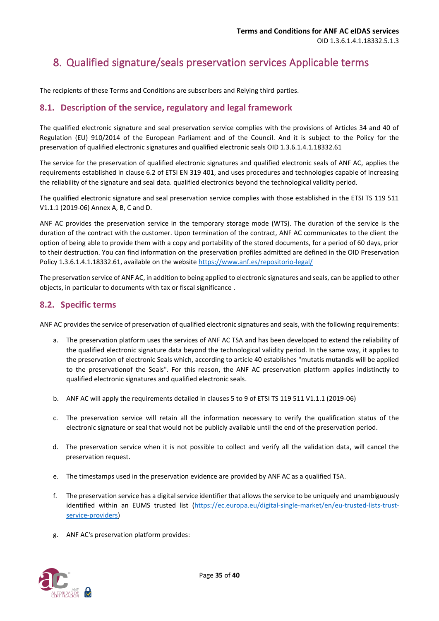## <span id="page-34-0"></span>8. Qualified signature/seals preservation services Applicable terms

The recipients of these Terms and Conditions are subscribers and Relying third parties.

## <span id="page-34-1"></span>**8.1. Description of the service, regulatory and legal framework**

The qualified electronic signature and seal preservation service complies with the provisions of Articles 34 and 40 of Regulation (EU) 910/2014 of the European Parliament and of the Council. And it is subject to the Policy for the preservation of qualified electronic signatures and qualified electronic seals OID 1.3.6.1.4.1.18332.61

The service for the preservation of qualified electronic signatures and qualified electronic seals of ANF AC, applies the requirements established in clause 6.2 of ETSI EN 319 401, and uses procedures and technologies capable of increasing the reliability of the signature and seal data. qualified electronics beyond the technological validity period.

The qualified electronic signature and seal preservation service complies with those established in the ETSI TS 119 511 V1.1.1 (2019-06) Annex A, B, C and D.

ANF AC provides the preservation service in the temporary storage mode (WTS). The duration of the service is the duration of the contract with the customer. Upon termination of the contract, ANF AC communicates to the client the option of being able to provide them with a copy and portability of the stored documents, for a period of 60 days, prior to their destruction. You can find information on the preservation profiles admitted are defined in the OID Preservation Policy 1.3.6.1.4.1.18332.61, available on the website<https://www.anf.es/repositorio-legal/>

The preservation service of ANF AC, in addition to being applied to electronic signatures and seals, can be applied to other objects, in particular to documents with tax or fiscal significance .

## <span id="page-34-2"></span>**8.2. Specific terms**

ANF AC provides the service of preservation of qualified electronic signatures and seals, with the following requirements:

- a. The preservation platform uses the services of ANF AC TSA and has been developed to extend the reliability of the qualified electronic signature data beyond the technological validity period. In the same way, it applies to the preservation of electronic Seals which, according to article 40 establishes "mutatis mutandis will be applied to the preservationof the Seals". For this reason, the ANF AC preservation platform applies indistinctly to qualified electronic signatures and qualified electronic seals.
- b. ANF AC will apply the requirements detailed in clauses 5 to 9 of ETSI TS 119 511 V1.1.1 (2019-06)
- c. The preservation service will retain all the information necessary to verify the qualification status of the electronic signature or seal that would not be publicly available until the end of the preservation period.
- d. The preservation service when it is not possible to collect and verify all the validation data, will cancel the preservation request.
- e. The timestamps used in the preservation evidence are provided by ANF AC as a qualified TSA.
- f. The preservation service has a digital service identifier that allows the service to be uniquely and unambiguously identified within an EUMS trusted list [\(https://ec.europa.eu/digital-single-market/en/eu-trusted-lists-trust](https://ec.europa.eu/digital-single-market/en/eu-trusted-lists-trust-service-providers)[service-providers\)](https://ec.europa.eu/digital-single-market/en/eu-trusted-lists-trust-service-providers)
- g. ANF AC's preservation platform provides:

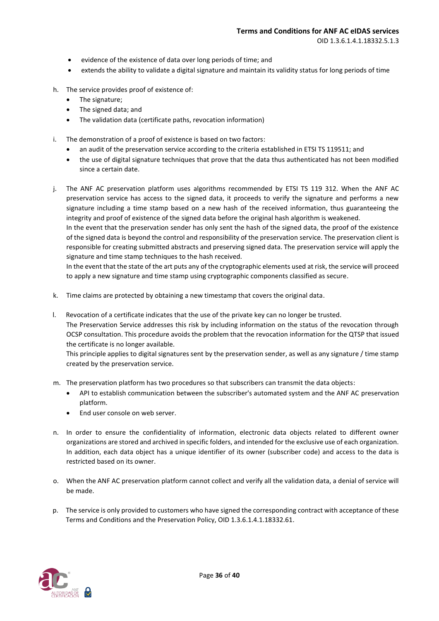OID 1.3.6.1.4.1.18332.5.1.3

- evidence of the existence of data over long periods of time; and
- extends the ability to validate a digital signature and maintain its validity status for long periods of time
- h. The service provides proof of existence of:
	- The signature;
	- The signed data; and
	- The validation data (certificate paths, revocation information)
- i. The demonstration of a proof of existence is based on two factors:
	- an audit of the preservation service according to the criteria established in ETSI TS 119511; and
	- the use of digital signature techniques that prove that the data thus authenticated has not been modified since a certain date.
- j. The ANF AC preservation platform uses algorithms recommended by ETSI TS 119 312. When the ANF AC preservation service has access to the signed data, it proceeds to verify the signature and performs a new signature including a time stamp based on a new hash of the received information, thus guaranteeing the integrity and proof of existence of the signed data before the original hash algorithm is weakened.

In the event that the preservation sender has only sent the hash of the signed data, the proof of the existence of the signed data is beyond the control and responsibility of the preservation service. The preservation client is responsible for creating submitted abstracts and preserving signed data. The preservation service will apply the signature and time stamp techniques to the hash received.

In the event that the state of the art puts any of the cryptographic elements used at risk, the service will proceed to apply a new signature and time stamp using cryptographic components classified as secure.

- k. Time claims are protected by obtaining a new timestamp that covers the original data.
- l. Revocation of a certificate indicates that the use of the private key can no longer be trusted. The Preservation Service addresses this risk by including information on the status of the revocation through OCSP consultation. This procedure avoids the problem that the revocation information for the QTSP that issued the certificate is no longer available.

This principle applies to digital signatures sent by the preservation sender, as well as any signature / time stamp created by the preservation service.

- m. The preservation platform has two procedures so that subscribers can transmit the data objects:
	- API to establish communication between the subscriber's automated system and the ANF AC preservation platform.
	- End user console on web server.
- n. In order to ensure the confidentiality of information, electronic data objects related to different owner organizations are stored and archived in specific folders, and intended for the exclusive use of each organization. In addition, each data object has a unique identifier of its owner (subscriber code) and access to the data is restricted based on its owner.
- o. When the ANF AC preservation platform cannot collect and verify all the validation data, a denial of service will be made.
- p. The service is only provided to customers who have signed the corresponding contract with acceptance of these Terms and Conditions and the Preservation Policy, OID 1.3.6.1.4.1.18332.61.

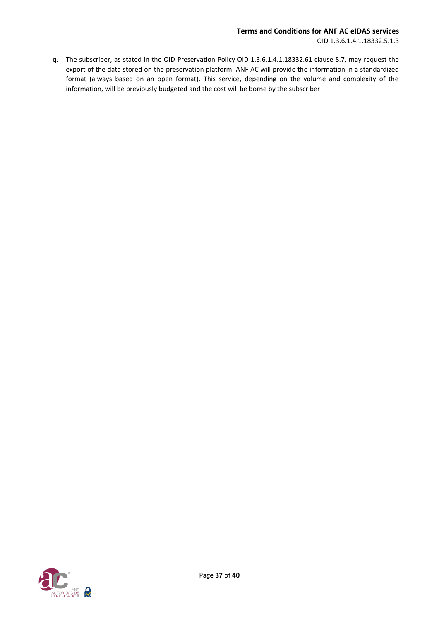q. The subscriber, as stated in the OID Preservation Policy OID 1.3.6.1.4.1.18332.61 clause 8.7, may request the export of the data stored on the preservation platform. ANF AC will provide the information in a standardized format (always based on an open format). This service, depending on the volume and complexity of the information, will be previously budgeted and the cost will be borne by the subscriber.

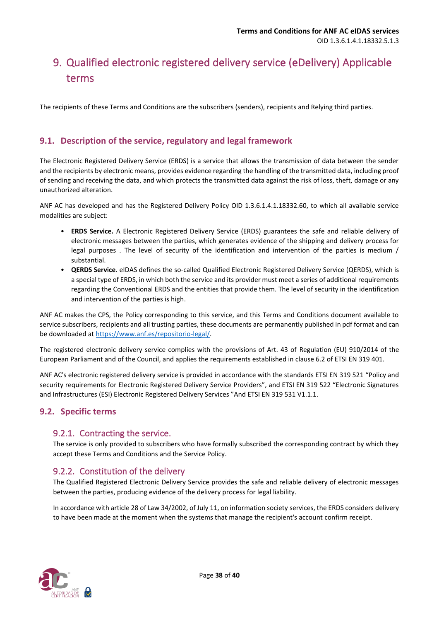## <span id="page-37-0"></span>9. Qualified electronic registered delivery service (eDelivery) Applicable terms

The recipients of these Terms and Conditions are the subscribers (senders), recipients and Relying third parties.

## <span id="page-37-1"></span>**9.1. Description of the service, regulatory and legal framework**

The Electronic Registered Delivery Service (ERDS) is a service that allows the transmission of data between the sender and the recipients by electronic means, provides evidence regarding the handling of the transmitted data, including proof of sending and receiving the data, and which protects the transmitted data against the risk of loss, theft, damage or any unauthorized alteration.

ANF AC has developed and has the Registered Delivery Policy OID 1.3.6.1.4.1.18332.60, to which all available service modalities are subject:

- **ERDS Service.** A Electronic Registered Delivery Service (ERDS) guarantees the safe and reliable delivery of electronic messages between the parties, which generates evidence of the shipping and delivery process for legal purposes . The level of security of the identification and intervention of the parties is medium / substantial.
- **QERDS Service**. eIDAS defines the so-called Qualified Electronic Registered Delivery Service (QERDS), which is a special type of ERDS, in which both the service and its provider must meet a series of additional requirements regarding the Conventional ERDS and the entities that provide them. The level of security in the identification and intervention of the parties is high.

ANF AC makes the CPS, the Policy corresponding to this service, and this Terms and Conditions document available to service subscribers, recipients and all trusting parties, these documents are permanently published in pdf format and can be downloaded at [https://www.anf.es/repositorio-legal/.](https://www.anf.es/repositorio-legal/)

The registered electronic delivery service complies with the provisions of Art. 43 of Regulation (EU) 910/2014 of the European Parliament and of the Council, and applies the requirements established in clause 6.2 of ETSI EN 319 401.

ANF AC's electronic registered delivery service is provided in accordance with the standards ETSI EN 319 521 "Policy and security requirements for Electronic Registered Delivery Service Providers", and ETSI EN 319 522 "Electronic Signatures and Infrastructures (ESI) Electronic Registered Delivery Services "And ETSI EN 319 531 V1.1.1.

## <span id="page-37-2"></span>**9.2. Specific terms**

## <span id="page-37-3"></span>9.2.1. Contracting the service.

The service is only provided to subscribers who have formally subscribed the corresponding contract by which they accept these Terms and Conditions and the Service Policy.

## <span id="page-37-4"></span>9.2.2. Constitution of the delivery

The Qualified Registered Electronic Delivery Service provides the safe and reliable delivery of electronic messages between the parties, producing evidence of the delivery process for legal liability.

In accordance with article 28 of Law 34/2002, of July 11, on information society services, the ERDS considers delivery to have been made at the moment when the systems that manage the recipient's account confirm receipt.

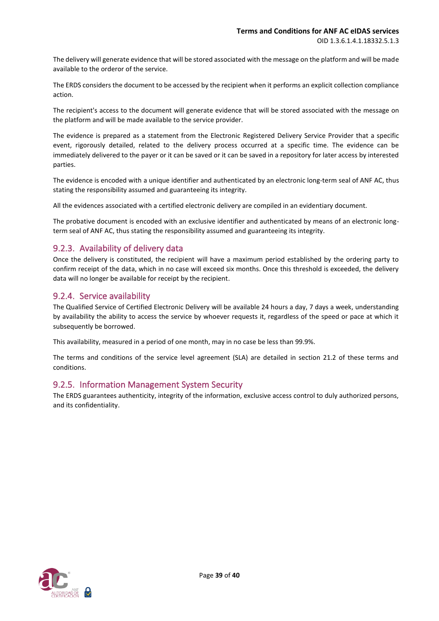The delivery will generate evidence that will be stored associated with the message on the platform and will be made available to the orderor of the service.

The ERDS considers the document to be accessed by the recipient when it performs an explicit collection compliance action.

The recipient's access to the document will generate evidence that will be stored associated with the message on the platform and will be made available to the service provider.

The evidence is prepared as a statement from the Electronic Registered Delivery Service Provider that a specific event, rigorously detailed, related to the delivery process occurred at a specific time. The evidence can be immediately delivered to the payer or it can be saved or it can be saved in a repository for later access by interested parties.

The evidence is encoded with a unique identifier and authenticated by an electronic long-term seal of ANF AC, thus stating the responsibility assumed and guaranteeing its integrity.

All the evidences associated with a certified electronic delivery are compiled in an evidentiary document.

The probative document is encoded with an exclusive identifier and authenticated by means of an electronic longterm seal of ANF AC, thus stating the responsibility assumed and guaranteeing its integrity.

## <span id="page-38-0"></span>9.2.3. Availability of delivery data

Once the delivery is constituted, the recipient will have a maximum period established by the ordering party to confirm receipt of the data, which in no case will exceed six months. Once this threshold is exceeded, the delivery data will no longer be available for receipt by the recipient.

#### <span id="page-38-1"></span>9.2.4. Service availability

The Qualified Service of Certified Electronic Delivery will be available 24 hours a day, 7 days a week, understanding by availability the ability to access the service by whoever requests it, regardless of the speed or pace at which it subsequently be borrowed.

This availability, measured in a period of one month, may in no case be less than 99.9%.

The terms and conditions of the service level agreement (SLA) are detailed in section 21.2 of these terms and conditions.

#### <span id="page-38-2"></span>9.2.5. Information Management System Security

The ERDS guarantees authenticity, integrity of the information, exclusive access control to duly authorized persons, and its confidentiality.